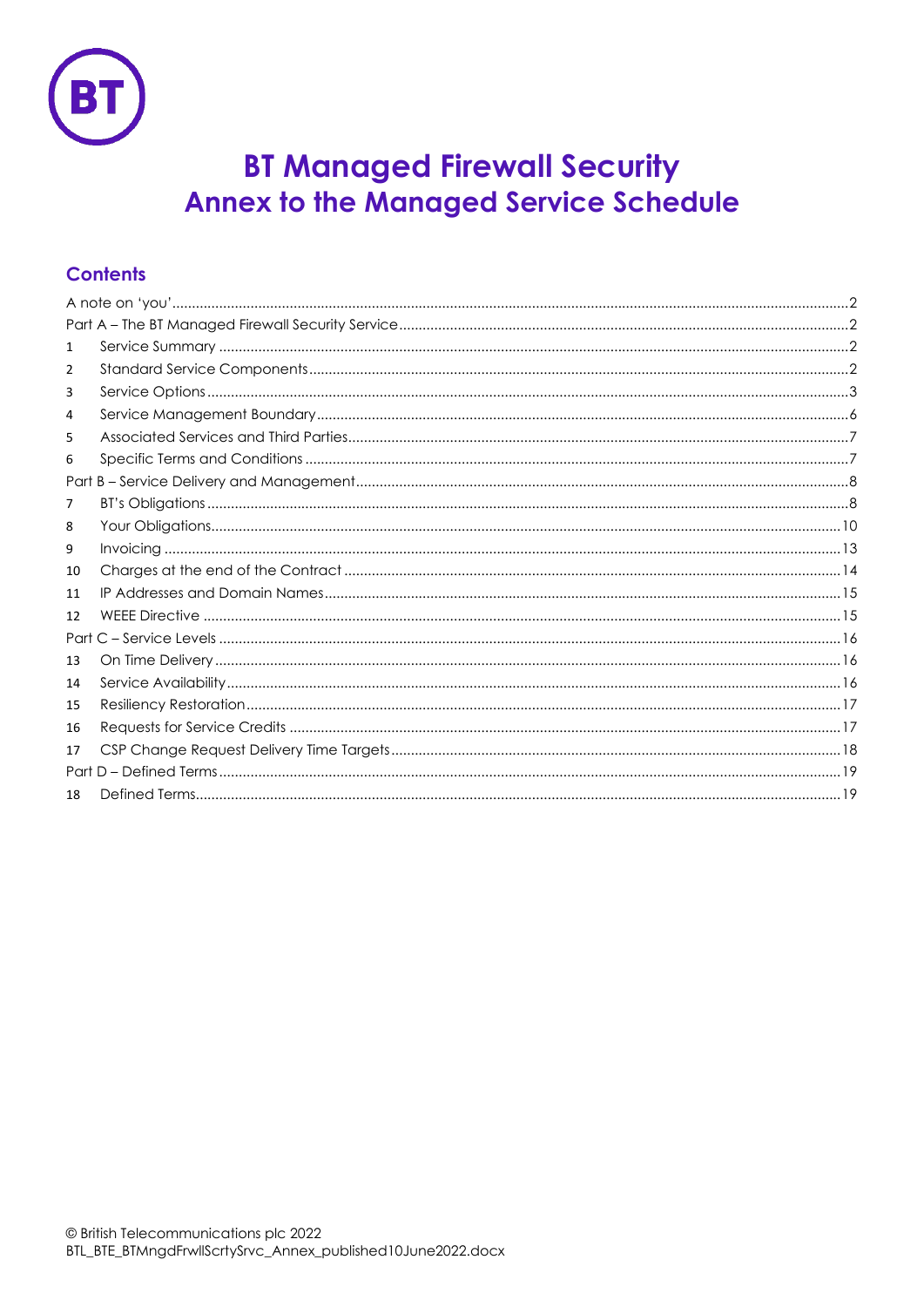

# **BT Managed Firewall Security Annex to the Managed Service Schedule**

# **Contents**

| 1  |  |  |  |  |  |
|----|--|--|--|--|--|
| 2  |  |  |  |  |  |
| 3  |  |  |  |  |  |
| 4  |  |  |  |  |  |
| 5  |  |  |  |  |  |
| 6  |  |  |  |  |  |
|    |  |  |  |  |  |
| 7  |  |  |  |  |  |
| 8  |  |  |  |  |  |
| 9  |  |  |  |  |  |
| 10 |  |  |  |  |  |
| 11 |  |  |  |  |  |
| 12 |  |  |  |  |  |
|    |  |  |  |  |  |
| 13 |  |  |  |  |  |
| 14 |  |  |  |  |  |
| 15 |  |  |  |  |  |
| 16 |  |  |  |  |  |
| 17 |  |  |  |  |  |
|    |  |  |  |  |  |
| 18 |  |  |  |  |  |
|    |  |  |  |  |  |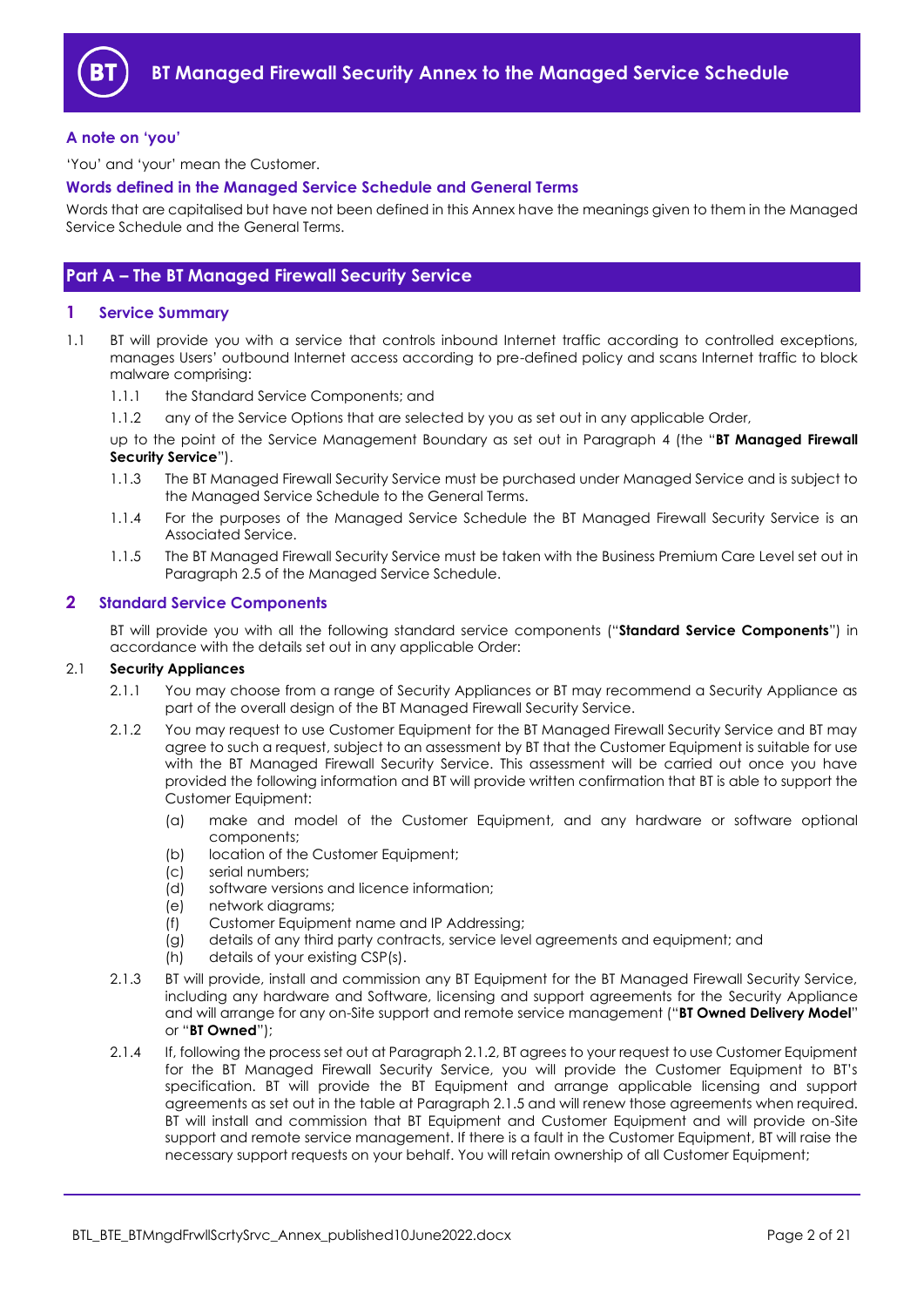

## <span id="page-1-0"></span>**A note on 'you'**

'You' and 'your' mean the Customer.

## **Words defined in the Managed Service Schedule and General Terms**

Words that are capitalised but have not been defined in this Annex have the meanings given to them in the Managed Service Schedule and the General Terms.

## <span id="page-1-1"></span>**Part A – The BT Managed Firewall Security Service**

## <span id="page-1-2"></span>**1 Service Summary**

- <span id="page-1-4"></span>1.1 BT will provide you with a service that controls inbound Internet traffic according to controlled exceptions, manages Users' outbound Internet access according to pre-defined policy and scans Internet traffic to block malware comprising:
	- 1.1.1 the Standard Service Components; and
	- 1.1.2 any of the Service Options that are selected by you as set out in any applicable Order,

up to the point of the Service Management Boundary as set out in Paragraph [4](#page-5-0) (the "**BT Managed Firewall Security Service**").

- 1.1.3 The BT Managed Firewall Security Service must be purchased under Managed Service and is subject to the Managed Service Schedule to the General Terms.
- 1.1.4 For the purposes of the Managed Service Schedule the BT Managed Firewall Security Service is an Associated Service.
- 1.1.5 The BT Managed Firewall Security Service must be taken with the Business Premium Care Level set out in Paragraph 2.5 of the Managed Service Schedule.

## <span id="page-1-3"></span>**2 Standard Service Components**

BT will provide you with all the following standard service components ("**Standard Service Components**") in accordance with the details set out in any applicable Order:

#### 2.1 **Security Appliances**

- 2.1.1 You may choose from a range of Security Appliances or BT may recommend a Security Appliance as part of the overall design of the BT Managed Firewall Security Service.
- 2.1.2 You may request to use Customer Equipment for the BT Managed Firewall Security Service and BT may agree to such a request, subject to an assessment by BT that the Customer Equipment is suitable for use with the BT Managed Firewall Security Service. This assessment will be carried out once you have provided the following information and BT will provide written confirmation that BT is able to support the Customer Equipment:
	- (a) make and model of the Customer Equipment, and any hardware or software optional components;
	- (b) location of the Customer Equipment:
	- (c) serial numbers;
	- (d) software versions and licence information;
	- (e) network diagrams;
	- (f) Customer Equipment name and IP Addressing;
	- (g) details of any third party contracts, service level agreements and equipment; and
	- (h) details of your existing CSP(s).
- 2.1.3 BT will provide, install and commission any BT Equipment for the BT Managed Firewall Security Service, including any hardware and Software, licensing and support agreements for the Security Appliance and will arrange for any on-Site support and remote service management ("**BT Owned Delivery Model**" or "**BT Owned**");
- 2.1.4 If, following the process set out at Paragraph 2.1.2, BT agrees to your request to use Customer Equipment for the BT Managed Firewall Security Service, you will provide the Customer Equipment to BT's specification. BT will provide the BT Equipment and arrange applicable licensing and support agreements as set out in the table at Paragraph 2.1.5 and will renew those agreements when required. BT will install and commission that BT Equipment and Customer Equipment and will provide on-Site support and remote service management. If there is a fault in the Customer Equipment, BT will raise the necessary support requests on your behalf. You will retain ownership of all Customer Equipment;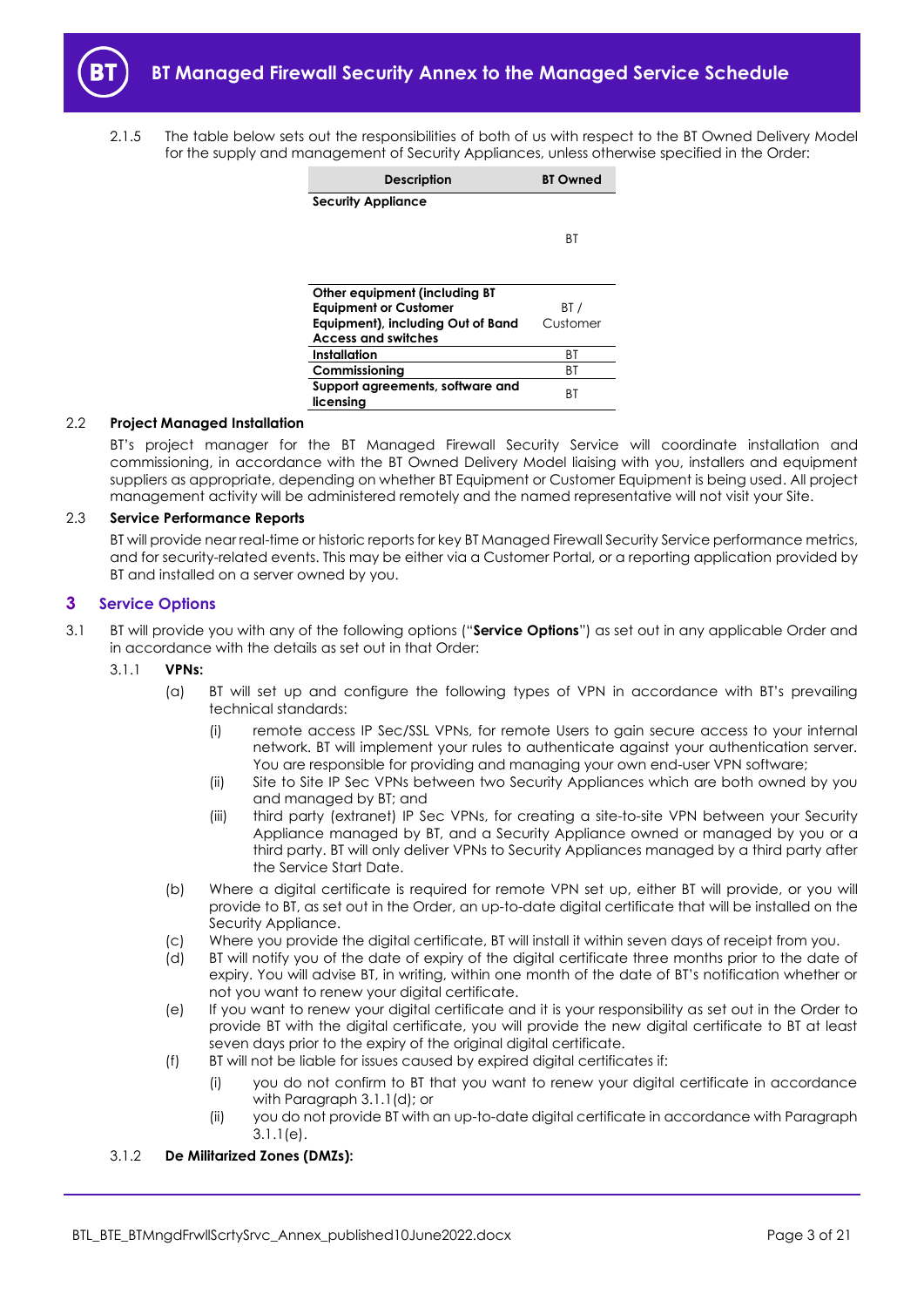<span id="page-2-3"></span>2.1.5 The table below sets out the responsibilities of both of us with respect to the BT Owned Delivery Model for the supply and management of Security Appliances, unless otherwise specified in the Order:

| <b>Description</b>                | <b>BT Owned</b> |  |
|-----------------------------------|-----------------|--|
| <b>Security Appliance</b>         |                 |  |
|                                   |                 |  |
|                                   | ВT              |  |
|                                   |                 |  |
|                                   |                 |  |
| Other equipment (including BT     |                 |  |
| <b>Equipment or Customer</b>      | BT /            |  |
| Equipment), including Out of Band | Customer        |  |
| <b>Access and switches</b>        |                 |  |
| Installation                      | ВT              |  |
| Commissioning                     | ВT              |  |
| Support agreements, software and  | ВT              |  |
| licensing                         |                 |  |

## <span id="page-2-4"></span>2.2 **Project Managed Installation**

BT's project manager for the BT Managed Firewall Security Service will coordinate installation and commissioning, in accordance with the BT Owned Delivery Model liaising with you, installers and equipment suppliers as appropriate, depending on whether BT Equipment or Customer Equipment is being used. All project management activity will be administered remotely and the named representative will not visit your Site.

#### 2.3 **Service Performance Reports**

<span id="page-2-0"></span>BT will provide near real-time or historic reports for key BT Managed Firewall Security Service performance metrics, and for security-related events. This may be either via a Customer Portal, or a reporting application provided by BT and installed on a server owned by you.

## **3 Service Options**

- <span id="page-2-5"></span>3.1 BT will provide you with any of the following options ("**Service Options**") as set out in any applicable Order and in accordance with the details as set out in that Order:
	- 3.1.1 **VPNs:** 
		- (a) BT will set up and configure the following types of VPN in accordance with BT's prevailing technical standards:
			- (i) remote access IP Sec/SSL VPNs, for remote Users to gain secure access to your internal network. BT will implement your rules to authenticate against your authentication server. You are responsible for providing and managing your own end-user VPN software;
			- (ii) Site to Site IP Sec VPNs between two Security Appliances which are both owned by you and managed by BT; and
			- (iii) third party (extranet) IP Sec VPNs, for creating a site-to-site VPN between your Security Appliance managed by BT, and a Security Appliance owned or managed by you or a third party. BT will only deliver VPNs to Security Appliances managed by a third party after the Service Start Date.
		- (b) Where a digital certificate is required for remote VPN set up, either BT will provide, or you will provide to BT, as set out in the Order, an up-to-date digital certificate that will be installed on the Security Appliance.
		- (c) Where you provide the digital certificate, BT will install it within seven days of receipt from you.
		- (d) BT will notify you of the date of expiry of the digital certificate three months prior to the date of expiry. You will advise BT, in writing, within one month of the date of BT's notification whether or not you want to renew your digital certificate.
		- (e) If you want to renew your digital certificate and it is your responsibility as set out in the Order to provide BT with the digital certificate, you will provide the new digital certificate to BT at least seven days prior to the expiry of the original digital certificate.
		- (f) BT will not be liable for issues caused by expired digital certificates if:
			- (i) you do not confirm to BT that you want to renew your digital certificate in accordance with Paragrap[h 3.1.1\(d\);](#page-2-1) or
			- (ii) you do not provide BT with an up-to-date digital certificate in accordance with Paragraph [3.1.1\(e\).](#page-2-2)

#### <span id="page-2-2"></span><span id="page-2-1"></span>3.1.2 **De Militarized Zones (DMZs):**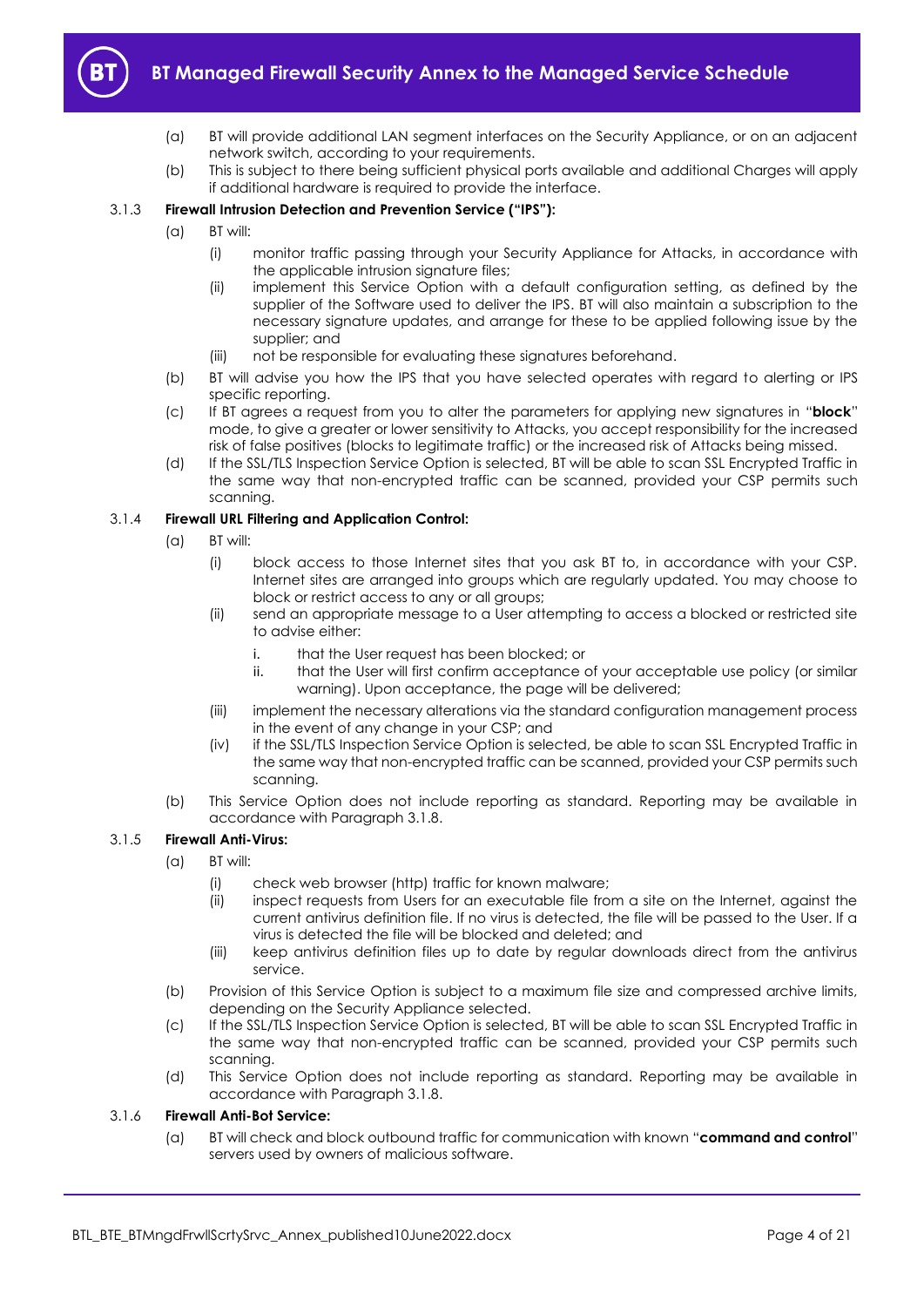

- (a) BT will provide additional LAN segment interfaces on the Security Appliance, or on an adjacent network switch, according to your requirements.
- (b) This is subject to there being sufficient physical ports available and additional Charges will apply if additional hardware is required to provide the interface.

## <span id="page-3-0"></span>3.1.3 **Firewall Intrusion Detection and Prevention Service ("IPS"):**

- (a) BT will:
	- (i) monitor traffic passing through your Security Appliance for Attacks, in accordance with the applicable intrusion signature files:
	- (ii) implement this Service Option with a default configuration setting, as defined by the supplier of the Software used to deliver the IPS. BT will also maintain a subscription to the necessary signature updates, and arrange for these to be applied following issue by the supplier; and
	- (iii) not be responsible for evaluating these signatures beforehand.
- (b) BT will advise you how the IPS that you have selected operates with regard to alerting or IPS specific reporting.
- (c) If BT agrees a request from you to alter the parameters for applying new signatures in "**block**" mode, to give a greater or lower sensitivity to Attacks, you accept responsibility for the increased risk of false positives (blocks to legitimate traffic) or the increased risk of Attacks being missed.
- (d) If the SSL/TLS Inspection Service Option is selected, BT will be able to scan SSL Encrypted Traffic in the same way that non-encrypted traffic can be scanned, provided your CSP permits such scanning.

## 3.1.4 **Firewall URL Filtering and Application Control:**

- (a) BT will:
	- (i) block access to those Internet sites that you ask BT to, in accordance with your CSP. Internet sites are arranged into groups which are regularly updated. You may choose to block or restrict access to any or all groups;
	- (ii) send an appropriate message to a User attempting to access a blocked or restricted site to advise either:
		- i. that the User request has been blocked; or
		- ii. that the User will first confirm acceptance of your acceptable use policy (or similar warning). Upon acceptance, the page will be delivered;
	- (iii) implement the necessary alterations via the standard configuration management process in the event of any change in your CSP; and
	- (iv) if the SSL/TLS Inspection Service Option is selected, be able to scan SSL Encrypted Traffic in the same way that non-encrypted traffic can be scanned, provided your CSP permits such scanning.
- (b) This Service Option does not include reporting as standard. Reporting may be available in accordance with Paragrap[h 3.1.8.](#page-4-0)

## 3.1.5 **Firewall Anti-Virus:**

- (a) BT will:
	- (i) check web browser (http) traffic for known malware;
	- (ii) inspect requests from Users for an executable file from a site on the Internet, against the current antivirus definition file. If no virus is detected, the file will be passed to the User. If a virus is detected the file will be blocked and deleted; and
	- (iii) keep antivirus definition files up to date by regular downloads direct from the antivirus service.
- (b) Provision of this Service Option is subject to a maximum file size and compressed archive limits, depending on the Security Appliance selected.
- (c) If the SSL/TLS Inspection Service Option is selected, BT will be able to scan SSL Encrypted Traffic in the same way that non-encrypted traffic can be scanned, provided your CSP permits such scanning.
- (d) This Service Option does not include reporting as standard. Reporting may be available in accordance with Paragrap[h 3.1.8.](#page-4-0)

## 3.1.6 **Firewall Anti-Bot Service:**

(a) BT will check and block outbound traffic for communication with known "**command and control**" servers used by owners of malicious software.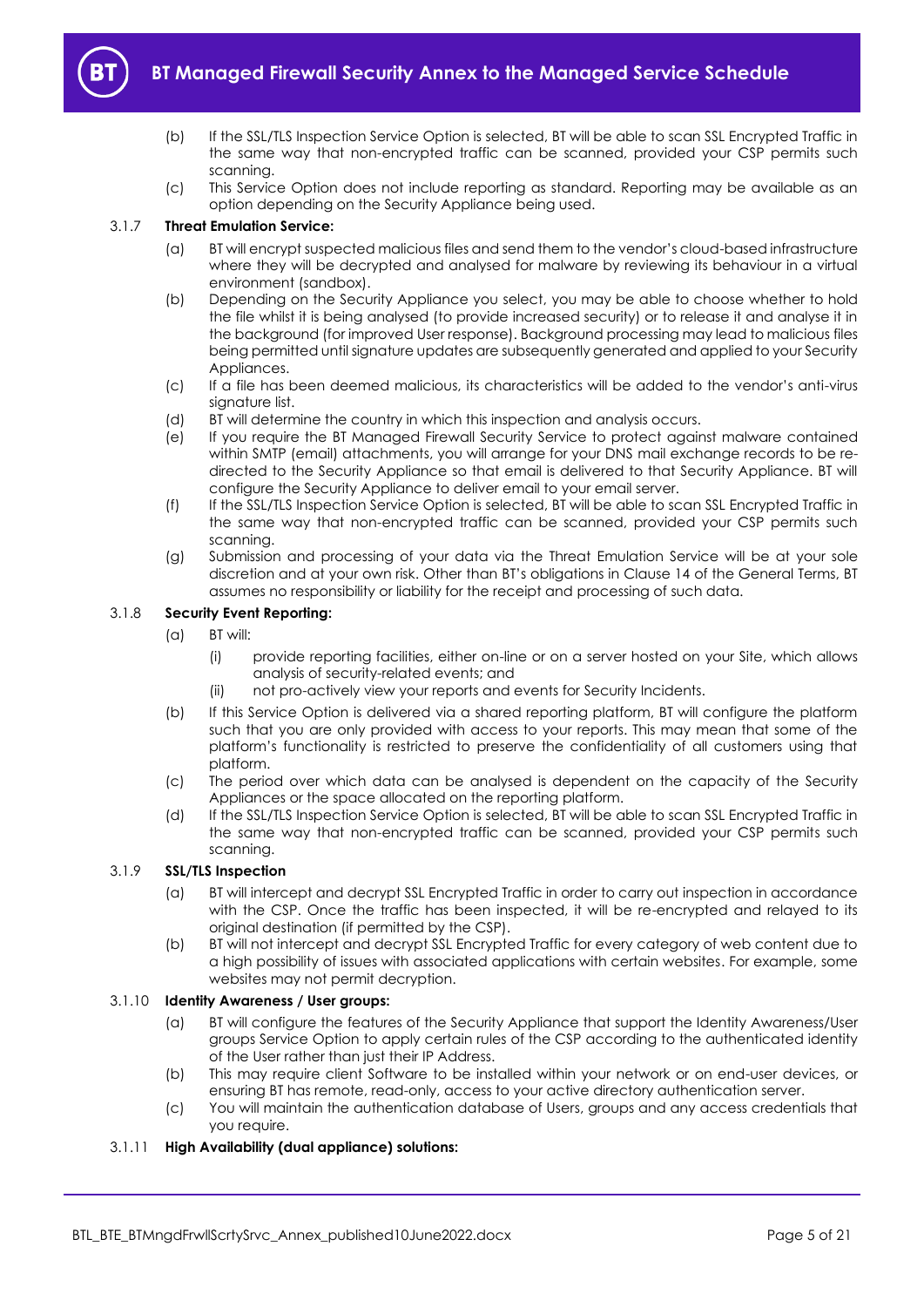

- (b) If the SSL/TLS Inspection Service Option is selected, BT will be able to scan SSL Encrypted Traffic in the same way that non-encrypted traffic can be scanned, provided your CSP permits such scanning.
- (c) This Service Option does not include reporting as standard. Reporting may be available as an option depending on the Security Appliance being used.

## 3.1.7 **Threat Emulation Service:**

- (a) BT will encrypt suspected malicious files and send them to the vendor's cloud-based infrastructure where they will be decrypted and analysed for malware by reviewing its behaviour in a virtual environment (sandbox).
- (b) Depending on the Security Appliance you select, you may be able to choose whether to hold the file whilst it is being analysed (to provide increased security) or to release it and analyse it in the background (for improved User response). Background processing may lead to malicious files being permitted until signature updates are subsequently generated and applied to your Security Appliances.
- (c) If a file has been deemed malicious, its characteristics will be added to the vendor's anti-virus signature list.
- (d) BT will determine the country in which this inspection and analysis occurs.
- (e) If you require the BT Managed Firewall Security Service to protect against malware contained within SMTP (email) attachments, you will arrange for your DNS mail exchange records to be redirected to the Security Appliance so that email is delivered to that Security Appliance. BT will configure the Security Appliance to deliver email to your email server.
- (f) If the SSL/TLS Inspection Service Option is selected, BT will be able to scan SSL Encrypted Traffic in the same way that non-encrypted traffic can be scanned, provided your CSP permits such scanning.
- (g) Submission and processing of your data via the Threat Emulation Service will be at your sole discretion and at your own risk. Other than BT's obligations in Clause 14 of the General Terms, BT assumes no responsibility or liability for the receipt and processing of such data.

## <span id="page-4-0"></span>3.1.8 **Security Event Reporting:**

- (a) BT will:
	- (i) provide reporting facilities, either on-line or on a server hosted on your Site, which allows analysis of security-related events; and
	- (ii) not pro-actively view your reports and events for Security Incidents.
- (b) If this Service Option is delivered via a shared reporting platform, BT will configure the platform such that you are only provided with access to your reports. This may mean that some of the platform's functionality is restricted to preserve the confidentiality of all customers using that platform.
- (c) The period over which data can be analysed is dependent on the capacity of the Security Appliances or the space allocated on the reporting platform.
- (d) If the SSL/TLS Inspection Service Option is selected, BT will be able to scan SSL Encrypted Traffic in the same way that non-encrypted traffic can be scanned, provided your CSP permits such scanning.

#### <span id="page-4-1"></span>3.1.9 **SSL/TLS Inspection**

- (a) BT will intercept and decrypt SSL Encrypted Traffic in order to carry out inspection in accordance with the CSP. Once the traffic has been inspected, it will be re-encrypted and relayed to its original destination (if permitted by the CSP).
- (b) BT will not intercept and decrypt SSL Encrypted Traffic for every category of web content due to a high possibility of issues with associated applications with certain websites. For example, some websites may not permit decryption.

## 3.1.10 **Identity Awareness / User groups:**

- (a) BT will configure the features of the Security Appliance that support the Identity Awareness/User groups Service Option to apply certain rules of the CSP according to the authenticated identity of the User rather than just their IP Address.
- (b) This may require client Software to be installed within your network or on end-user devices, or ensuring BT has remote, read-only, access to your active directory authentication server.
- (c) You will maintain the authentication database of Users, groups and any access credentials that you require.

#### 3.1.11 **High Availability (dual appliance) solutions:**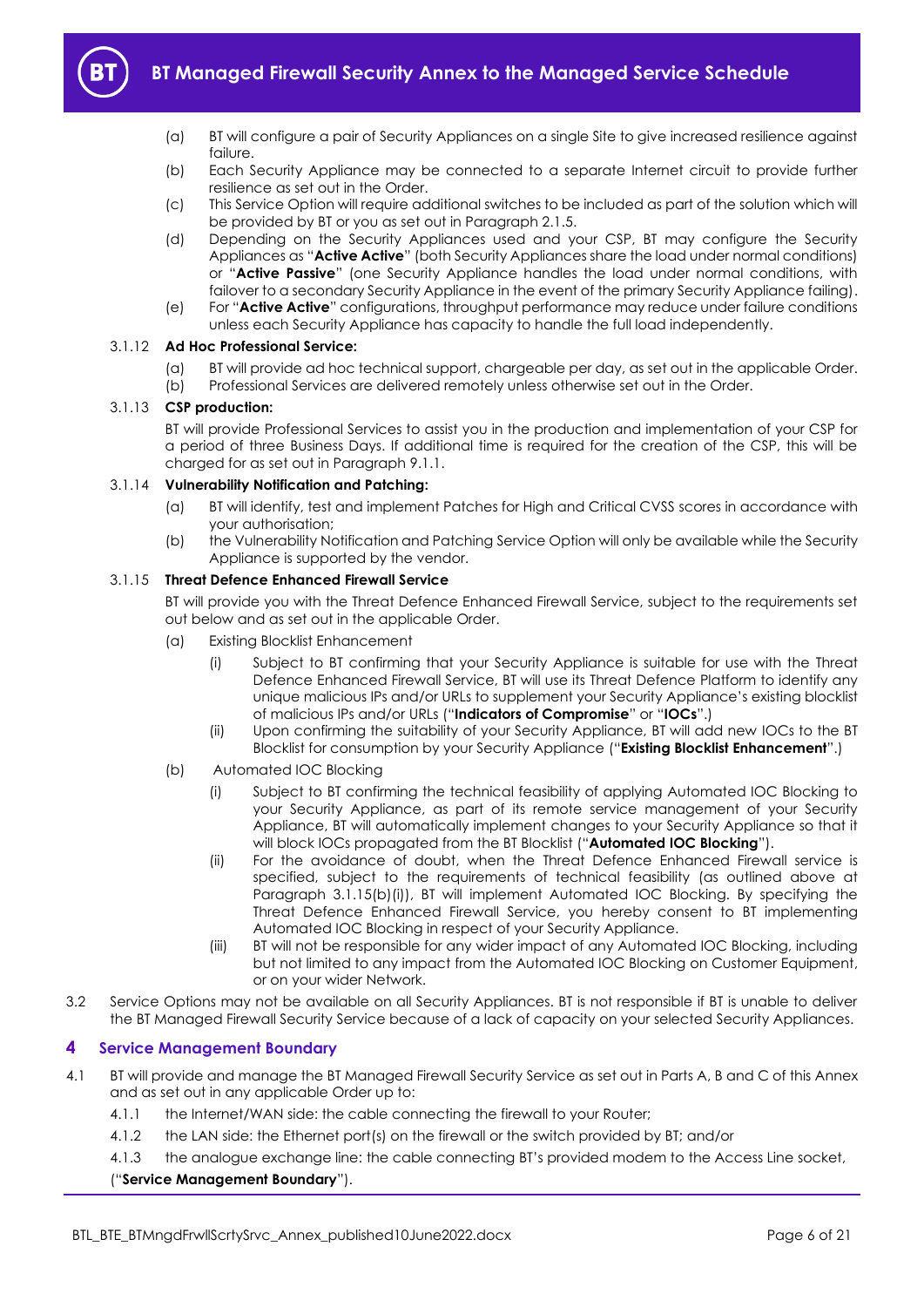

- (a) BT will configure a pair of Security Appliances on a single Site to give increased resilience against failure.
- (b) Each Security Appliance may be connected to a separate Internet circuit to provide further resilience as set out in the Order.
- (c) This Service Option will require additional switches to be included as part of the solution which will be provided by BT or you as set out in Paragraph [2.1.5.](#page-2-3)
- <span id="page-5-4"></span>(d) Depending on the Security Appliances used and your CSP, BT may configure the Security Appliances as "**Active Active**" (both Security Appliances share the load under normal conditions) or "**Active Passive**" (one Security Appliance handles the load under normal conditions, with failover to a secondary Security Appliance in the event of the primary Security Appliance failing).
- (e) For "**Active Active**" configurations, throughput performance may reduce under failure conditions unless each Security Appliance has capacity to handle the full load independently.

## <span id="page-5-2"></span>3.1.12 **Ad Hoc Professional Service:**

- (a) BT will provide ad hoc technical support, chargeable per day, as set out in the applicable Order.
- (b) Professional Services are delivered remotely unless otherwise set out in the Order.

#### <span id="page-5-3"></span>3.1.13 **CSP production:**

BT will provide Professional Services to assist you in the production and implementation of your CSP for a period of three Business Days. If additional time is required for the creation of the CSP, this will be charged for as set out in Paragraph 9.1.1.

#### 3.1.14 **Vulnerability Notification and Patching:**

- (a) BT will identify, test and implement Patches for High and Critical CVSS scores in accordance with your authorisation;
- (b) the Vulnerability Notification and Patching Service Option will only be available while the Security Appliance is supported by the vendor.

#### <span id="page-5-7"></span><span id="page-5-5"></span>3.1.15 **Threat Defence Enhanced Firewall Service**

BT will provide you with the Threat Defence Enhanced Firewall Service, subject to the requirements set out below and as set out in the applicable Order.

- (a) Existing Blocklist Enhancement
	- (i) Subject to BT confirming that your Security Appliance is suitable for use with the Threat Defence Enhanced Firewall Service, BT will use its Threat Defence Platform to identify any unique malicious IPs and/or URLs to supplement your Security Appliance's existing blocklist of malicious IPs and/or URLs ("**Indicators of Compromise**" or "**IOCs**".)
	- (ii) Upon confirming the suitability of your Security Appliance, BT will add new IOCs to the BT Blocklist for consumption by your Security Appliance ("**Existing Blocklist Enhancement**".)
- <span id="page-5-6"></span><span id="page-5-1"></span>(b) Automated IOC Blocking
	- (i) Subject to BT confirming the technical feasibility of applying Automated IOC Blocking to your Security Appliance, as part of its remote service management of your Security Appliance, BT will automatically implement changes to your Security Appliance so that it will block IOCs propagated from the BT Blocklist ("**Automated IOC Blocking**").
	- (ii) For the avoidance of doubt, when the Threat Defence Enhanced Firewall service is specified, subject to the requirements of technical feasibility (as outlined above at Paragraph 3.1.15(b[\)\(i\)\)](#page-5-1), BT will implement Automated IOC Blocking. By specifying the Threat Defence Enhanced Firewall Service, you hereby consent to BT implementing Automated IOC Blocking in respect of your Security Appliance.
	- (iii) BT will not be responsible for any wider impact of any Automated IOC Blocking, including but not limited to any impact from the Automated IOC Blocking on Customer Equipment, or on your wider Network.
- 3.2 Service Options may not be available on all Security Appliances. BT is not responsible if BT is unable to deliver the BT Managed Firewall Security Service because of a lack of capacity on your selected Security Appliances.

## <span id="page-5-0"></span>**4 Service Management Boundary**

- <span id="page-5-8"></span>4.1 BT will provide and manage the BT Managed Firewall Security Service as set out in Parts A, B and C of this Annex and as set out in any applicable Order up to:
	- 4.1.1 the Internet/WAN side: the cable connecting the firewall to your Router;
	- 4.1.2 the LAN side: the Ethernet port(s) on the firewall or the switch provided by BT; and/or
	- 4.1.3 the analogue exchange line: the cable connecting BT's provided modem to the Access Line socket,

## ("**Service Management Boundary**").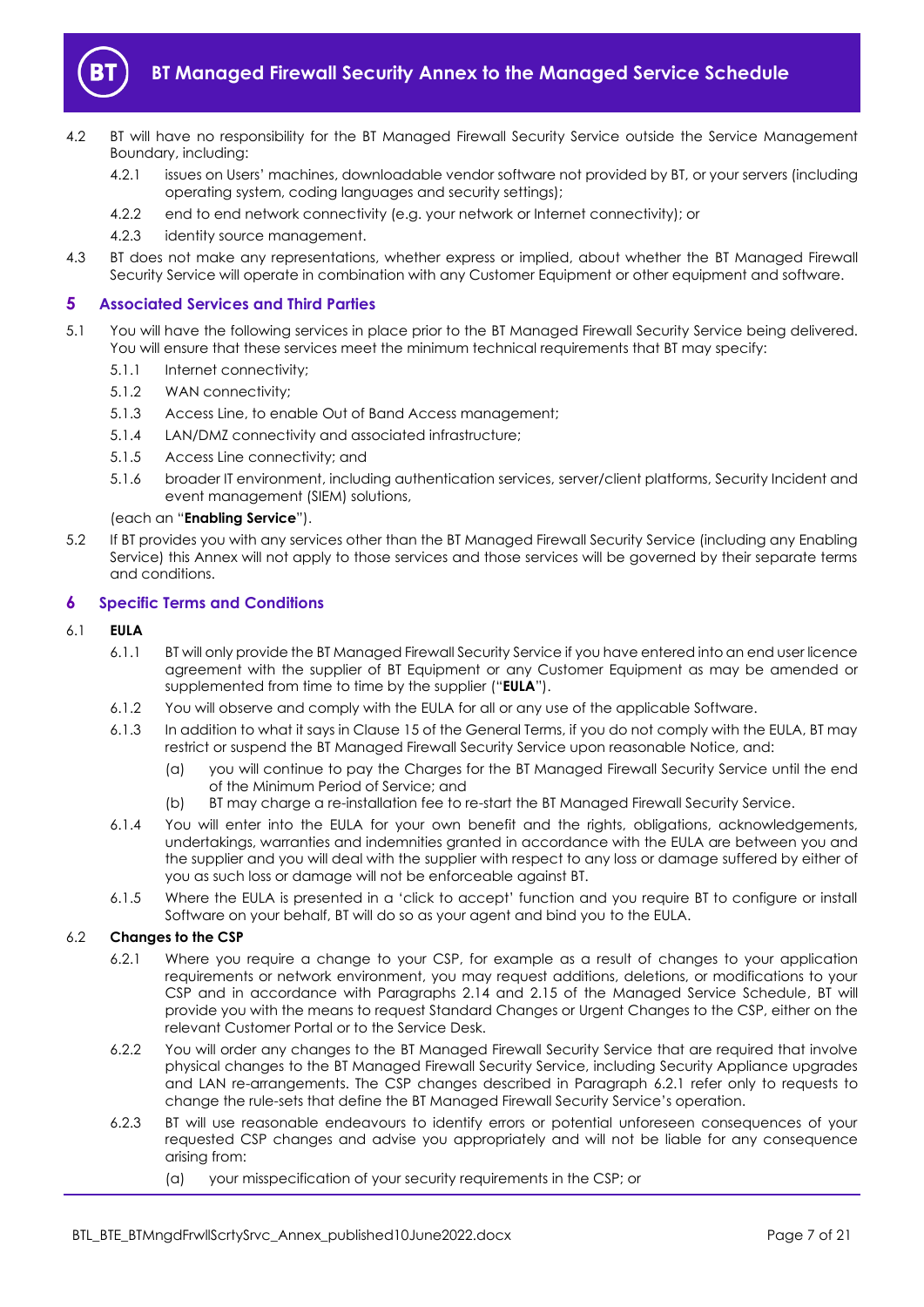

- 4.2 BT will have no responsibility for the BT Managed Firewall Security Service outside the Service Management Boundary, including:
	- 4.2.1 issues on Users' machines, downloadable vendor software not provided by BT, or your servers (including operating system, coding languages and security settings);
	- 4.2.2 end to end network connectivity (e.g. your network or Internet connectivity); or
	- 4.2.3 identity source management.
- 4.3 BT does not make any representations, whether express or implied, about whether the BT Managed Firewall Security Service will operate in combination with any Customer Equipment or other equipment and software.

## <span id="page-6-0"></span>**5 Associated Services and Third Parties**

- <span id="page-6-4"></span>5.1 You will have the following services in place prior to the BT Managed Firewall Security Service being delivered. You will ensure that these services meet the minimum technical requirements that BT may specify:
	- 5.1.1 Internet connectivity;
	- 5.1.2 WAN connectivity;
	- 5.1.3 Access Line, to enable Out of Band Access management;
	- 5.1.4 LAN/DMZ connectivity and associated infrastructure;
	- 5.1.5 Access Line connectivity; and
	- 5.1.6 broader IT environment, including authentication services, server/client platforms, Security Incident and event management (SIEM) solutions,

## (each an "**Enabling Service**").

5.2 If BT provides you with any services other than the BT Managed Firewall Security Service (including any Enabling Service) this Annex will not apply to those services and those services will be governed by their separate terms and conditions.

## <span id="page-6-1"></span>**6 Specific Terms and Conditions**

- <span id="page-6-5"></span>6.1 **EULA**
	- 6.1.1 BT will only provide the BT Managed Firewall Security Service if you have entered into an end user licence agreement with the supplier of BT Equipment or any Customer Equipment as may be amended or supplemented from time to time by the supplier ("**EULA**").
	- 6.1.2 You will observe and comply with the EULA for all or any use of the applicable Software.
	- 6.1.3 In addition to what it says in Clause 15 of the General Terms, if you do not comply with the EULA, BT may restrict or suspend the BT Managed Firewall Security Service upon reasonable Notice, and:
		- (a) you will continue to pay the Charges for the BT Managed Firewall Security Service until the end of the Minimum Period of Service; and
		- (b) BT may charge a re-installation fee to re-start the BT Managed Firewall Security Service.
	- 6.1.4 You will enter into the EULA for your own benefit and the rights, obligations, acknowledgements, undertakings, warranties and indemnities granted in accordance with the EULA are between you and the supplier and you will deal with the supplier with respect to any loss or damage suffered by either of you as such loss or damage will not be enforceable against BT.
	- 6.1.5 Where the EULA is presented in a 'click to accept' function and you require BT to configure or install Software on your behalf, BT will do so as your agent and bind you to the EULA.

## <span id="page-6-3"></span><span id="page-6-2"></span>6.2 **Changes to the CSP**

- 6.2.1 Where you require a change to your CSP, for example as a result of changes to your application requirements or network environment, you may request additions, deletions, or modifications to your CSP and in accordance with Paragraphs 2.14 and 2.15 of the Managed Service Schedule, BT will provide you with the means to request Standard Changes or Urgent Changes to the CSP, either on the relevant Customer Portal or to the Service Desk.
- 6.2.2 You will order any changes to the BT Managed Firewall Security Service that are required that involve physical changes to the BT Managed Firewall Security Service, including Security Appliance upgrades and LAN re-arrangements. The CSP changes described in Paragraph [6.2.1](#page-6-2) refer only to requests to change the rule-sets that define the BT Managed Firewall Security Service's operation.
- 6.2.3 BT will use reasonable endeavours to identify errors or potential unforeseen consequences of your requested CSP changes and advise you appropriately and will not be liable for any consequence arising from:
	- (a) your misspecification of your security requirements in the CSP; or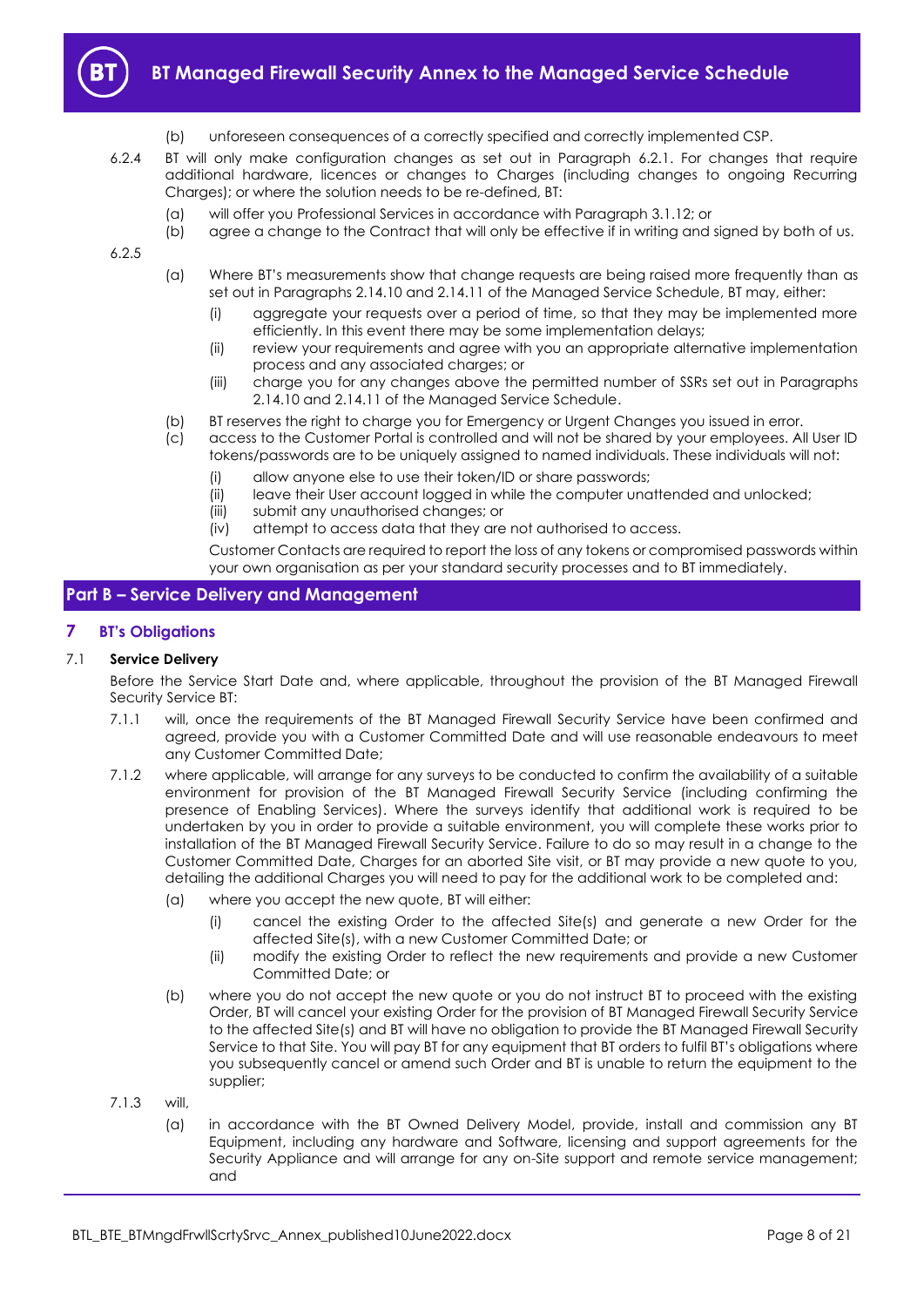

- (b) unforeseen consequences of a correctly specified and correctly implemented CSP.
- 6.2.4 BT will only make configuration changes as set out in Paragraph [6.2.1.](#page-6-2) For changes that require additional hardware, licences or changes to Charges (including changes to ongoing Recurring Charges); or where the solution needs to be re-defined, BT:
	- (a) will offer you Professional Services in accordance with Paragraph [3.1.12;](#page-5-2) or
	- (b) agree a change to the Contract that will only be effective if in writing and signed by both of us.

6.2.5

- (a) Where BT's measurements show that change requests are being raised more frequently than as set out in Paragraphs 2.14.10 and 2.14.11 of the Managed Service Schedule, BT may, either:
	- (i) aggregate your requests over a period of time, so that they may be implemented more efficiently. In this event there may be some implementation delays;
	- (ii) review your requirements and agree with you an appropriate alternative implementation process and any associated charges; or
	- (iii) charge you for any changes above the permitted number of SSRs set out in Paragraphs 2.14.10 and 2.14.11 of the Managed Service Schedule.
- (b) BT reserves the right to charge you for Emergency or Urgent Changes you issued in error.
- (c) access to the Customer Portal is controlled and will not be shared by your employees. All User ID tokens/passwords are to be uniquely assigned to named individuals. These individuals will not:
	- (i) allow anyone else to use their token/ID or share passwords;
	- (ii) leave their User account logged in while the computer unattended and unlocked;
	- (iii) submit any unauthorised changes; or
	- (iv) attempt to access data that they are not authorised to access.

Customer Contacts are required to report the loss of any tokens or compromised passwords within your own organisation as per your standard security processes and to BT immediately.

# <span id="page-7-0"></span>**Part B – Service Delivery and Management**

## <span id="page-7-1"></span>**7 BT's Obligations**

## 7.1 **Service Delivery**

Before the Service Start Date and, where applicable, throughout the provision of the BT Managed Firewall Security Service BT:

- 7.1.1 will, once the requirements of the BT Managed Firewall Security Service have been confirmed and agreed, provide you with a Customer Committed Date and will use reasonable endeavours to meet any Customer Committed Date;
- 7.1.2 where applicable, will arrange for any surveys to be conducted to confirm the availability of a suitable environment for provision of the BT Managed Firewall Security Service (including confirming the presence of Enabling Services). Where the surveys identify that additional work is required to be undertaken by you in order to provide a suitable environment, you will complete these works prior to installation of the BT Managed Firewall Security Service. Failure to do so may result in a change to the Customer Committed Date, Charges for an aborted Site visit, or BT may provide a new quote to you, detailing the additional Charges you will need to pay for the additional work to be completed and:
	- (a) where you accept the new quote, BT will either:
		- (i) cancel the existing Order to the affected Site(s) and generate a new Order for the affected Site(s), with a new Customer Committed Date; or
		- (ii) modify the existing Order to reflect the new requirements and provide a new Customer Committed Date; or
	- (b) where you do not accept the new quote or you do not instruct BT to proceed with the existing Order, BT will cancel your existing Order for the provision of BT Managed Firewall Security Service to the affected Site(s) and BT will have no obligation to provide the BT Managed Firewall Security Service to that Site. You will pay BT for any equipment that BT orders to fulfil BT's obligations where you subsequently cancel or amend such Order and BT is unable to return the equipment to the supplier;
- 7.1.3 will,
	- (a) in accordance with the BT Owned Delivery Model, provide, install and commission any BT Equipment, including any hardware and Software, licensing and support agreements for the Security Appliance and will arrange for any on-Site support and remote service management; and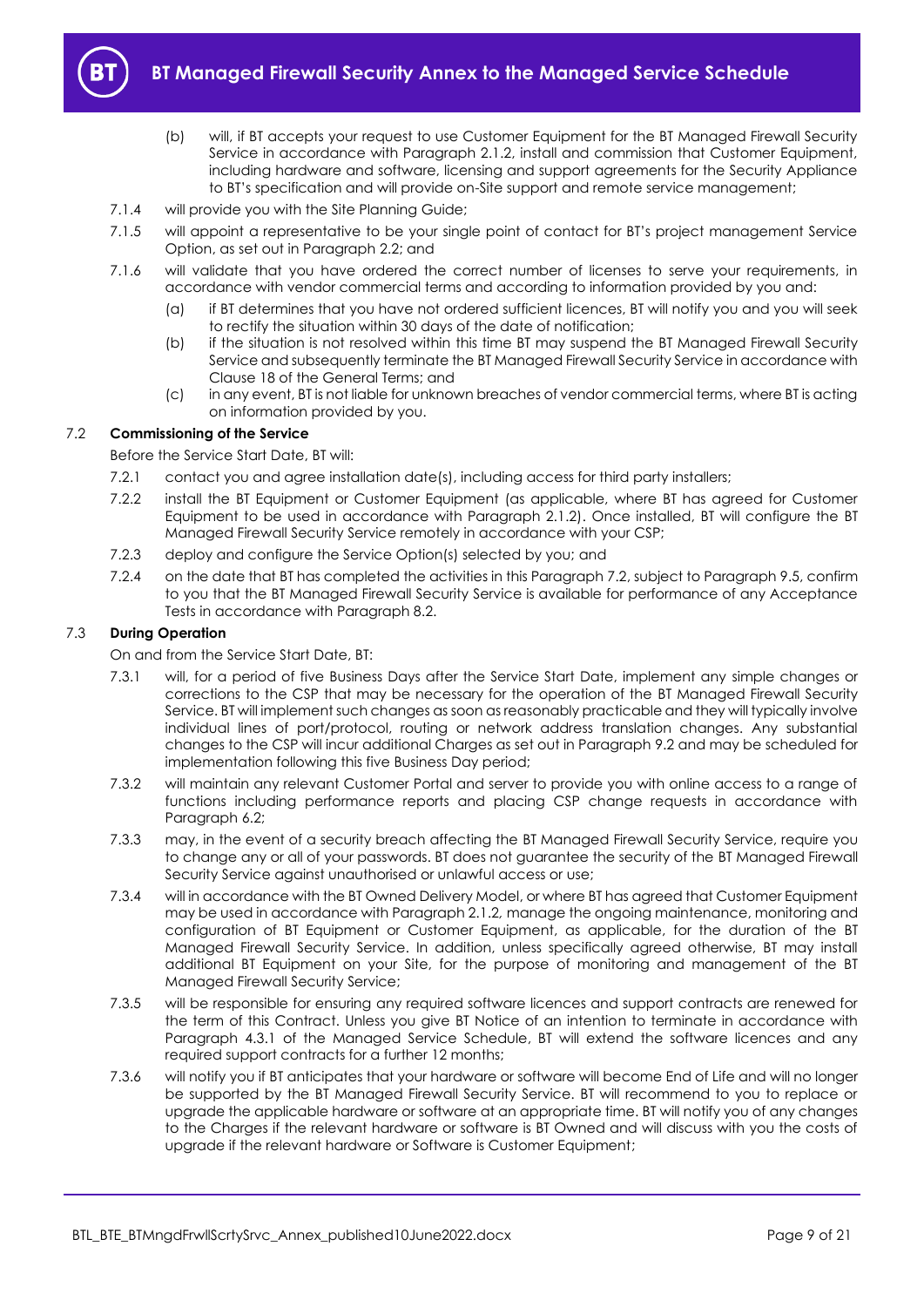

- (b) will, if BT accepts your request to use Customer Equipment for the BT Managed Firewall Security Service in accordance with Paragraph 2.1.2, install and commission that Customer Equipment, including hardware and software, licensing and support agreements for the Security Appliance to BT's specification and will provide on-Site support and remote service management;
- 7.1.4 will provide you with the Site Planning Guide;
- 7.1.5 will appoint a representative to be your single point of contact for BT's project management Service Option, as set out in Paragrap[h 2.2;](#page-2-4) and
- 7.1.6 will validate that you have ordered the correct number of licenses to serve your requirements, in accordance with vendor commercial terms and according to information provided by you and:
	- (a) if BT determines that you have not ordered sufficient licences, BT will notify you and you will seek to rectify the situation within 30 days of the date of notification;
	- (b) if the situation is not resolved within this time BT may suspend the BT Managed Firewall Security Service and subsequently terminate the BT Managed Firewall Security Service in accordance with Clause 18 of the General Terms; and
	- (c) in any event, BT is not liable for unknown breaches of vendor commercial terms, where BT is acting on information provided by you.

## <span id="page-8-0"></span>7.2 **Commissioning of the Service**

Before the Service Start Date, BT will:

- 7.2.1 contact you and agree installation date(s), including access for third party installers;
- 7.2.2 install the BT Equipment or Customer Equipment (as applicable, where BT has agreed for Customer Equipment to be used in accordance with Paragraph 2.1.2). Once installed, BT will configure the BT Managed Firewall Security Service remotely in accordance with your CSP;
- 7.2.3 deploy and configure the Service Option(s) selected by you; and
- <span id="page-8-1"></span>7.2.4 on the date that BT has completed the activities in this Paragrap[h 7.2,](#page-8-0) subject to Paragrap[h 9.5,](#page-13-1) confirm to you that the BT Managed Firewall Security Service is available for performance of any Acceptance Tests in accordance with Paragrap[h 8.2.](#page-11-0)

## 7.3 **During Operation**

On and from the Service Start Date, BT:

- 7.3.1 will, for a period of five Business Days after the Service Start Date, implement any simple changes or corrections to the CSP that may be necessary for the operation of the BT Managed Firewall Security Service. BT will implement such changes as soon as reasonably practicable and they will typically involve individual lines of port/protocol, routing or network address translation changes. Any substantial changes to the CSP will incur additional Charges as set out in Paragraph [9.2](#page-13-2) and may be scheduled for implementation following this five Business Day period;
- 7.3.2 will maintain any relevant Customer Portal and server to provide you with online access to a range of functions including performance reports and placing CSP change requests in accordance with Paragrap[h 6.2;](#page-6-3)
- 7.3.3 may, in the event of a security breach affecting the BT Managed Firewall Security Service, require you to change any or all of your passwords. BT does not guarantee the security of the BT Managed Firewall Security Service against unauthorised or unlawful access or use;
- 7.3.4 will in accordance with the BT Owned Delivery Model, or where BT has agreed that Customer Equipment may be used in accordance with Paragraph 2.1.2*,* manage the ongoing maintenance, monitoring and configuration of BT Equipment or Customer Equipment, as applicable, for the duration of the BT Managed Firewall Security Service. In addition, unless specifically agreed otherwise, BT may install additional BT Equipment on your Site, for the purpose of monitoring and management of the BT Managed Firewall Security Service;
- 7.3.5 will be responsible for ensuring any required software licences and support contracts are renewed for the term of this Contract. Unless you give BT Notice of an intention to terminate in accordance with Paragraph 4.3.1 of the Managed Service Schedule, BT will extend the software licences and any required support contracts for a further 12 months;
- <span id="page-8-2"></span>7.3.6 will notify you if BT anticipates that your hardware or software will become End of Life and will no longer be supported by the BT Managed Firewall Security Service. BT will recommend to you to replace or upgrade the applicable hardware or software at an appropriate time. BT will notify you of any changes to the Charges if the relevant hardware or software is BT Owned and will discuss with you the costs of upgrade if the relevant hardware or Software is Customer Equipment;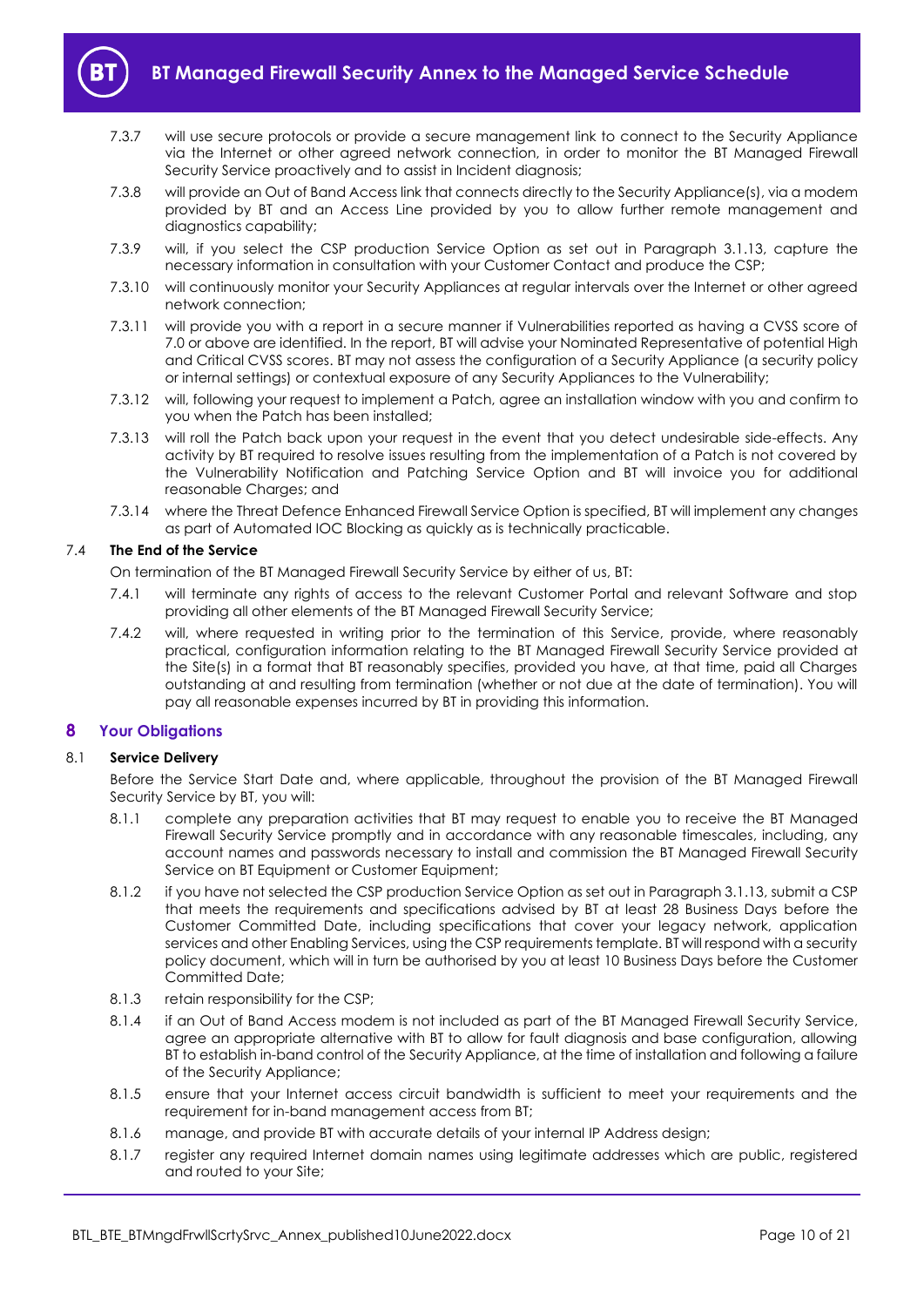

- 7.3.7 will use secure protocols or provide a secure management link to connect to the Security Appliance via the Internet or other agreed network connection, in order to monitor the BT Managed Firewall Security Service proactively and to assist in Incident diagnosis;
- 7.3.8 will provide an Out of Band Access link that connects directly to the Security Appliance(s), via a modem provided by BT and an Access Line provided by you to allow further remote management and diagnostics capability;
- 7.3.9 will, if you select the CSP production Service Option as set out in Paragraph [3.1.13,](#page-5-3) capture the necessary information in consultation with your Customer Contact and produce the CSP;
- 7.3.10 will continuously monitor your Security Appliances at regular intervals over the Internet or other agreed network connection;
- 7.3.11 will provide you with a report in a secure manner if Vulnerabilities reported as having a CVSS score of 7.0 or above are identified. In the report, BT will advise your Nominated Representative of potential High and Critical CVSS scores. BT may not assess the configuration of a Security Appliance (a security policy or internal settings) or contextual exposure of any Security Appliances to the Vulnerability;
- 7.3.12 will, following your request to implement a Patch, agree an installation window with you and confirm to you when the Patch has been installed;
- 7.3.13 will roll the Patch back upon your request in the event that you detect undesirable side-effects. Any activity by BT required to resolve issues resulting from the implementation of a Patch is not covered by the Vulnerability Notification and Patching Service Option and BT will invoice you for additional reasonable Charges; and
- 7.3.14 where the Threat Defence Enhanced Firewall Service Option is specified, BT will implement any changes as part of Automated IOC Blocking as quickly as is technically practicable.

## 7.4 **The End of the Service**

On termination of the BT Managed Firewall Security Service by either of us, BT:

- 7.4.1 will terminate any rights of access to the relevant Customer Portal and relevant Software and stop providing all other elements of the BT Managed Firewall Security Service;
- 7.4.2 will, where requested in writing prior to the termination of this Service, provide, where reasonably practical, configuration information relating to the BT Managed Firewall Security Service provided at the Site(s) in a format that BT reasonably specifies, provided you have, at that time, paid all Charges outstanding at and resulting from termination (whether or not due at the date of termination). You will pay all reasonable expenses incurred by BT in providing this information.

## <span id="page-9-0"></span>**8 Your Obligations**

## 8.1 **Service Delivery**

Before the Service Start Date and, where applicable, throughout the provision of the BT Managed Firewall Security Service by BT, you will:

- 8.1.1 complete any preparation activities that BT may request to enable you to receive the BT Managed Firewall Security Service promptly and in accordance with any reasonable timescales, including, any account names and passwords necessary to install and commission the BT Managed Firewall Security Service on BT Equipment or Customer Equipment;
- 8.1.2 if you have not selected the CSP production Service Option as set out in Paragrap[h 3.1.13,](#page-5-3) submit a CSP that meets the requirements and specifications advised by BT at least 28 Business Days before the Customer Committed Date, including specifications that cover your legacy network, application services and other Enabling Services, using the CSP requirements template. BT will respond with a security policy document, which will in turn be authorised by you at least 10 Business Days before the Customer Committed Date;
- 8.1.3 retain responsibility for the CSP;
- 8.1.4 if an Out of Band Access modem is not included as part of the BT Managed Firewall Security Service, agree an appropriate alternative with BT to allow for fault diagnosis and base configuration, allowing BT to establish in-band control of the Security Appliance, at the time of installation and following a failure of the Security Appliance;
- 8.1.5 ensure that your Internet access circuit bandwidth is sufficient to meet your requirements and the requirement for in-band management access from BT;
- 8.1.6 manage, and provide BT with accurate details of your internal IP Address design;
- 8.1.7 register any required Internet domain names using legitimate addresses which are public, registered and routed to your Site;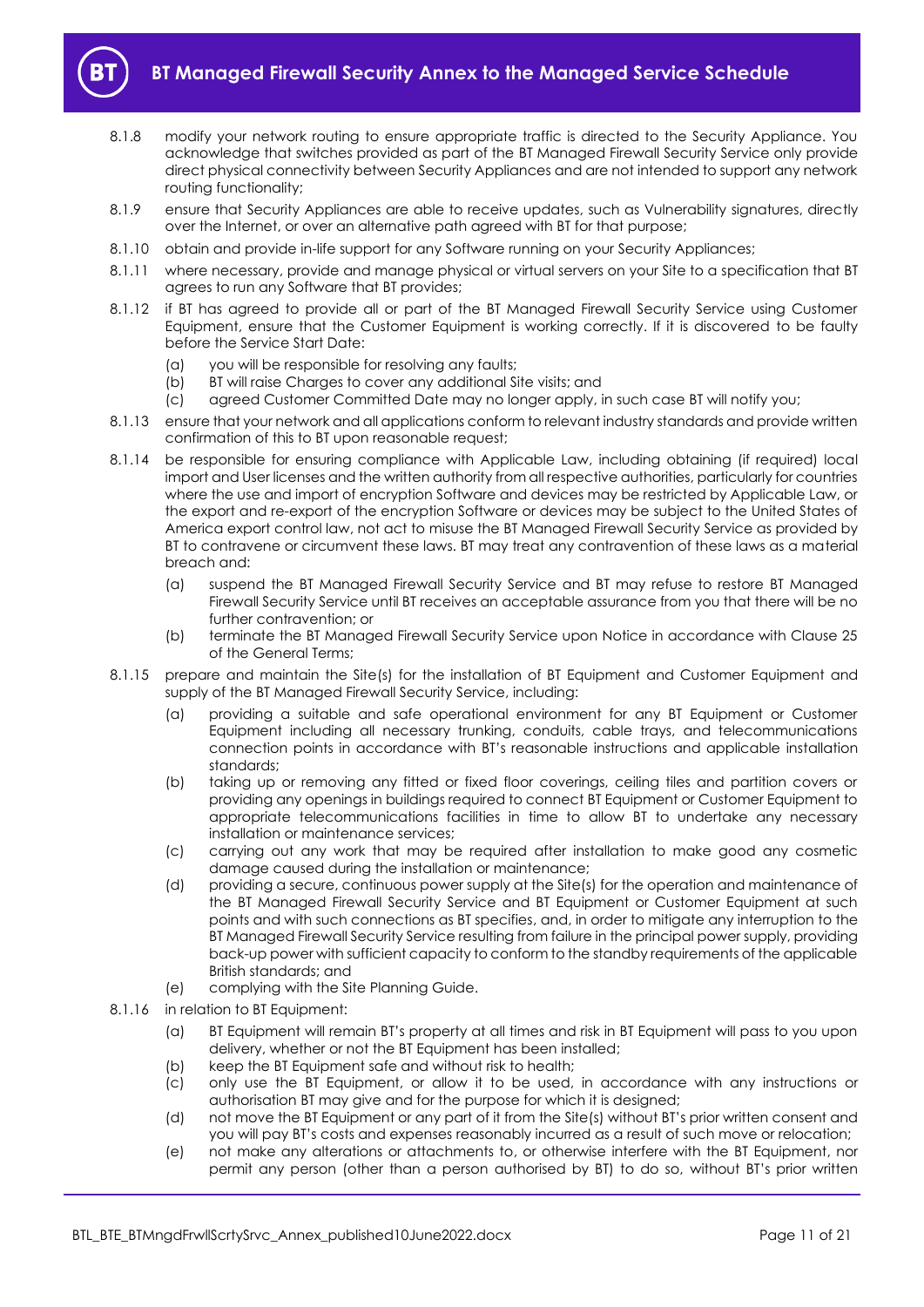

- 8.1.8 modify your network routing to ensure appropriate traffic is directed to the Security Appliance. You acknowledge that switches provided as part of the BT Managed Firewall Security Service only provide direct physical connectivity between Security Appliances and are not intended to support any network routing functionality;
- 8.1.9 ensure that Security Appliances are able to receive updates, such as Vulnerability signatures, directly over the Internet, or over an alternative path agreed with BT for that purpose;
- 8.1.10 obtain and provide in-life support for any Software running on your Security Appliances;
- 8.1.11 where necessary, provide and manage physical or virtual servers on your Site to a specification that BT agrees to run any Software that BT provides;
- 8.1.12 if BT has agreed to provide all or part of the BT Managed Firewall Security Service using Customer Equipment, ensure that the Customer Equipment is working correctly. If it is discovered to be faulty before the Service Start Date:
	- (a) you will be responsible for resolving any faults;
	- (b) BT will raise Charges to cover any additional Site visits; and
	- (c) agreed Customer Committed Date may no longer apply, in such case BT will notify you;
- 8.1.13 ensure that your network and all applications conform to relevant industry standards and provide written confirmation of this to BT upon reasonable request;
- 8.1.14 be responsible for ensuring compliance with Applicable Law, including obtaining (if required) local import and User licenses and the written authority from all respective authorities, particularly for countries where the use and import of encryption Software and devices may be restricted by Applicable Law, or the export and re-export of the encryption Software or devices may be subject to the United States of America export control law, not act to misuse the BT Managed Firewall Security Service as provided by BT to contravene or circumvent these laws. BT may treat any contravention of these laws as a material breach and:
	- (a) suspend the BT Managed Firewall Security Service and BT may refuse to restore BT Managed Firewall Security Service until BT receives an acceptable assurance from you that there will be no further contravention; or
	- (b) terminate the BT Managed Firewall Security Service upon Notice in accordance with Clause 25 of the General Terms;
- 8.1.15 prepare and maintain the Site(s) for the installation of BT Equipment and Customer Equipment and supply of the BT Managed Firewall Security Service, including:
	- (a) providing a suitable and safe operational environment for any BT Equipment or Customer Equipment including all necessary trunking, conduits, cable trays, and telecommunications connection points in accordance with BT's reasonable instructions and applicable installation standards;
	- (b) taking up or removing any fitted or fixed floor coverings, ceiling tiles and partition covers or providing any openings in buildings required to connect BT Equipment or Customer Equipment to appropriate telecommunications facilities in time to allow BT to undertake any necessary installation or maintenance services;
	- (c) carrying out any work that may be required after installation to make good any cosmetic damage caused during the installation or maintenance;
	- (d) providing a secure, continuous power supply at the Site(s) for the operation and maintenance of the BT Managed Firewall Security Service and BT Equipment or Customer Equipment at such points and with such connections as BT specifies, and, in order to mitigate any interruption to the BT Managed Firewall Security Service resulting from failure in the principal power supply, providing back-up power with sufficient capacity to conform to the standby requirements of the applicable British standards; and
	- (e) complying with the Site Planning Guide.
- 8.1.16 in relation to BT Equipment:
	- (a) BT Equipment will remain BT's property at all times and risk in BT Equipment will pass to you upon delivery, whether or not the BT Equipment has been installed;
	- (b) keep the BT Equipment safe and without risk to health;
	- (c) only use the BT Equipment, or allow it to be used, in accordance with any instructions or authorisation BT may give and for the purpose for which it is designed;
	- (d) not move the BT Equipment or any part of it from the Site(s) without BT's prior written consent and you will pay BT's costs and expenses reasonably incurred as a result of such move or relocation;
	- (e) not make any alterations or attachments to, or otherwise interfere with the BT Equipment, nor permit any person (other than a person authorised by BT) to do so, without BT's prior written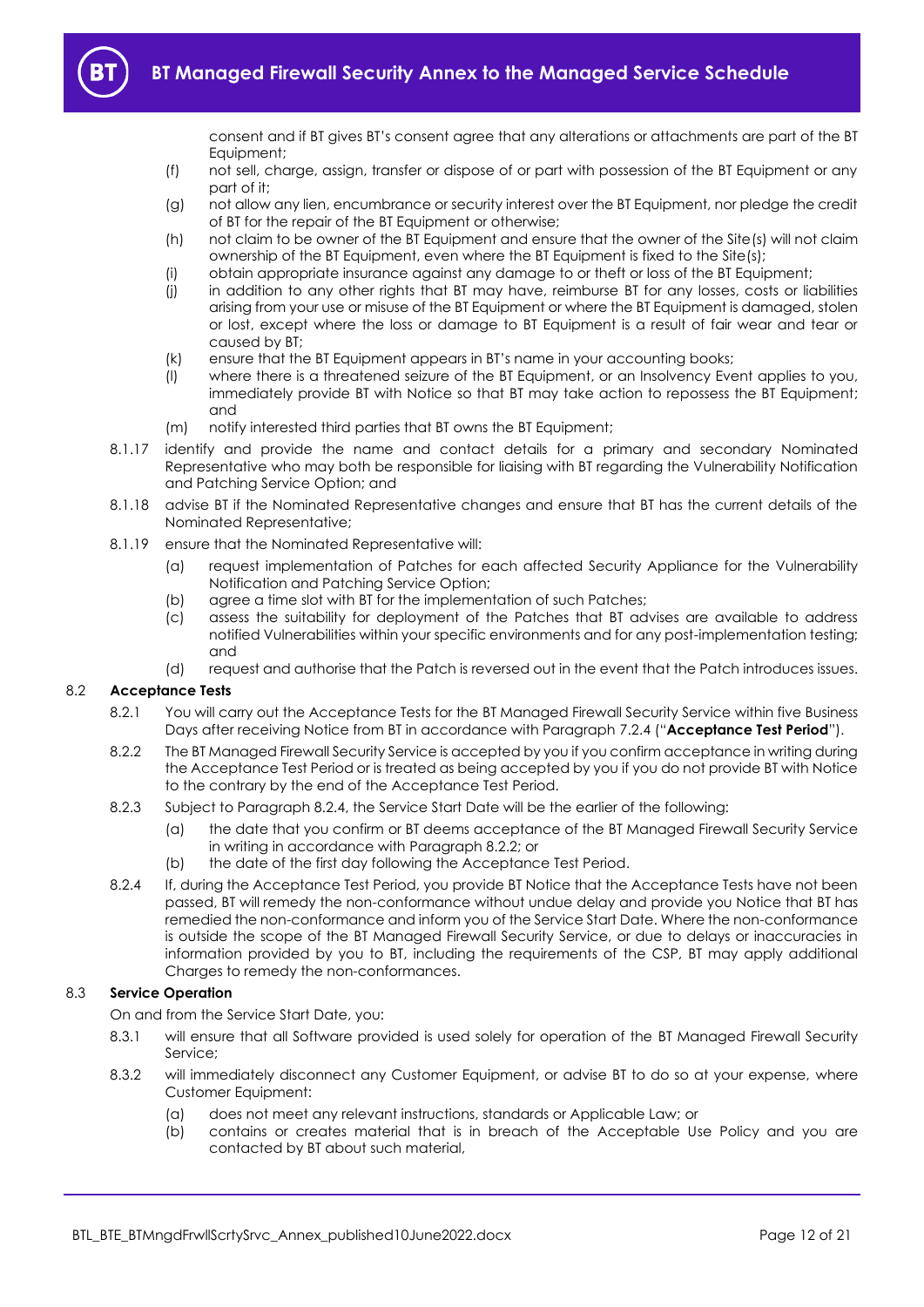consent and if BT gives BT's consent agree that any alterations or attachments are part of the BT Equipment;

- (f) not sell, charge, assign, transfer or dispose of or part with possession of the BT Equipment or any part of it;
- (g) not allow any lien, encumbrance or security interest over the BT Equipment, nor pledge the credit of BT for the repair of the BT Equipment or otherwise;
- (h) not claim to be owner of the BT Equipment and ensure that the owner of the Site(s) will not claim ownership of the BT Equipment, even where the BT Equipment is fixed to the Site(s);
- (i) obtain appropriate insurance against any damage to or theft or loss of the BT Equipment;
- (j) in addition to any other rights that BT may have, reimburse BT for any losses, costs or liabilities arising from your use or misuse of the BT Equipment or where the BT Equipment is damaged, stolen or lost, except where the loss or damage to BT Equipment is a result of fair wear and tear or caused by BT;
- (k) ensure that the BT Equipment appears in BT's name in your accounting books;
- (l) where there is a threatened seizure of the BT Equipment, or an Insolvency Event applies to you, immediately provide BT with Notice so that BT may take action to repossess the BT Equipment; and
- (m) notify interested third parties that BT owns the BT Equipment;
- 8.1.17 identify and provide the name and contact details for a primary and secondary Nominated Representative who may both be responsible for liaising with BT regarding the Vulnerability Notification and Patching Service Option; and
- 8.1.18 advise BT if the Nominated Representative changes and ensure that BT has the current details of the Nominated Representative;
- 8.1.19 ensure that the Nominated Representative will:
	- (a) request implementation of Patches for each affected Security Appliance for the Vulnerability Notification and Patching Service Option;
	- (b) agree a time slot with BT for the implementation of such Patches;
	- (c) assess the suitability for deployment of the Patches that BT advises are available to address notified Vulnerabilities within your specific environments and for any post-implementation testing; and
	- (d) request and authorise that the Patch is reversed out in the event that the Patch introduces issues.

## <span id="page-11-3"></span><span id="page-11-0"></span>8.2 **Acceptance Tests**

- 8.2.1 You will carry out the Acceptance Tests for the BT Managed Firewall Security Service within five Business Days after receiving Notice from BT in accordance with Paragraph [7.2.4](#page-8-1) ("**Acceptance Test Period**").
- <span id="page-11-2"></span>8.2.2 The BT Managed Firewall Security Service is accepted by you if you confirm acceptance in writing during the Acceptance Test Period or is treated as being accepted by you if you do not provide BT with Notice to the contrary by the end of the Acceptance Test Period.
- 8.2.3 Subject to Paragrap[h 8.2.4,](#page-11-1) the Service Start Date will be the earlier of the following:
	- (a) the date that you confirm or BT deems acceptance of the BT Managed Firewall Security Service in writing in accordance with Paragraph [8.2.2;](#page-11-2) or
	- (b) the date of the first day following the Acceptance Test Period.
- <span id="page-11-1"></span>8.2.4 If, during the Acceptance Test Period, you provide BT Notice that the Acceptance Tests have not been passed, BT will remedy the non-conformance without undue delay and provide you Notice that BT has remedied the non-conformance and inform you of the Service Start Date. Where the non-conformance is outside the scope of the BT Managed Firewall Security Service, or due to delays or inaccuracies in information provided by you to BT, including the requirements of the CSP, BT may apply additional Charges to remedy the non-conformances.

## 8.3 **Service Operation**

On and from the Service Start Date, you:

- 8.3.1 will ensure that all Software provided is used solely for operation of the BT Managed Firewall Security Service;
- 8.3.2 will immediately disconnect any Customer Equipment, or advise BT to do so at your expense, where Customer Equipment:
	- (a) does not meet any relevant instructions, standards or Applicable Law; or
	- (b) contains or creates material that is in breach of the Acceptable Use Policy and you are contacted by BT about such material,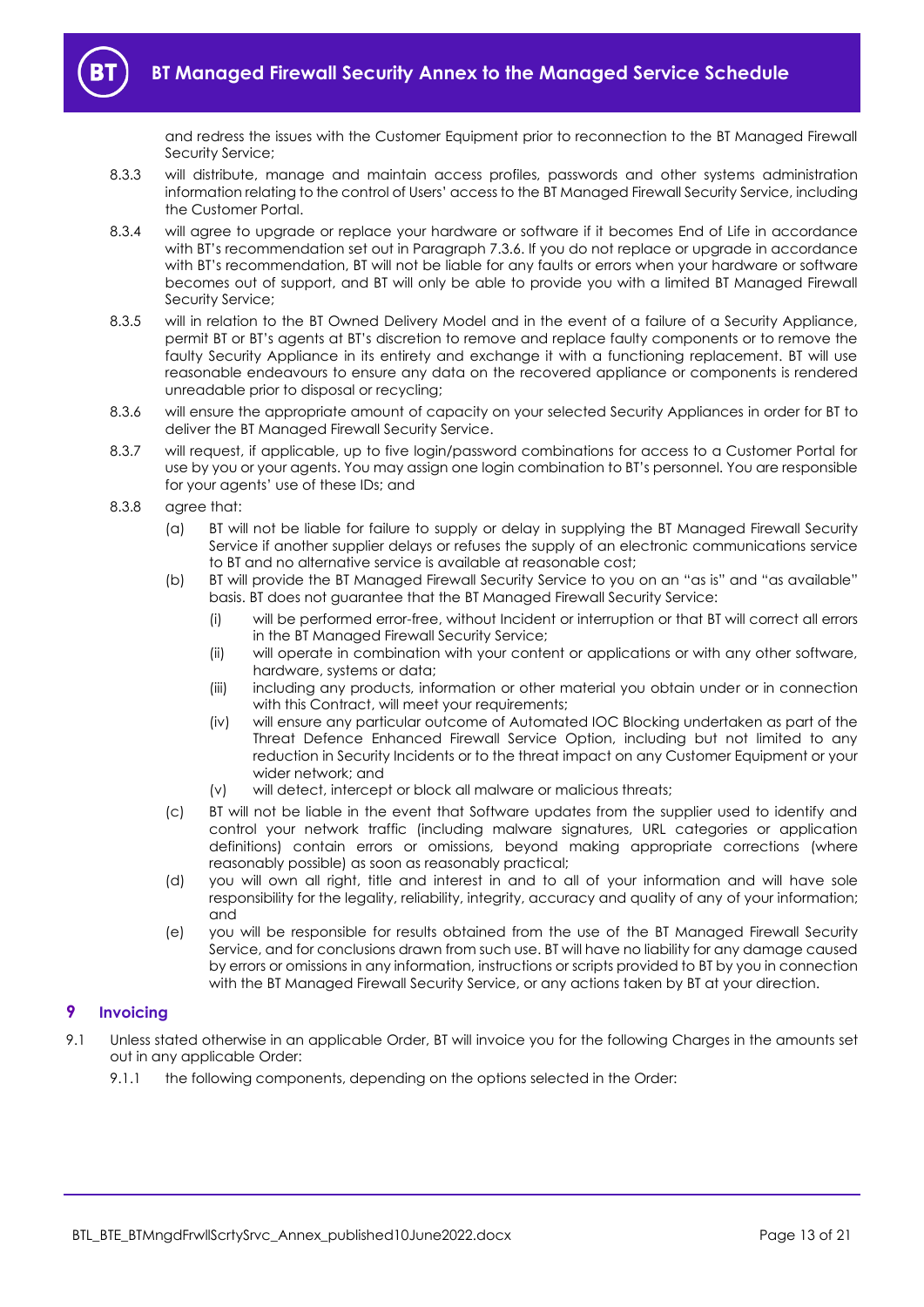and redress the issues with the Customer Equipment prior to reconnection to the BT Managed Firewall Security Service;

- 8.3.3 will distribute, manage and maintain access profiles, passwords and other systems administration information relating to the control of Users' access to the BT Managed Firewall Security Service, including the Customer Portal.
- 8.3.4 will agree to upgrade or replace your hardware or software if it becomes End of Life in accordance with BT's recommendation set out in Paragrap[h 7.3.6.](#page-8-2) If you do not replace or upgrade in accordance with BT's recommendation, BT will not be liable for any faults or errors when your hardware or software becomes out of support, and BT will only be able to provide you with a limited BT Managed Firewall Security Service;
- 8.3.5 will in relation to the BT Owned Delivery Model and in the event of a failure of a Security Appliance, permit BT or BT's agents at BT's discretion to remove and replace faulty components or to remove the faulty Security Appliance in its entirety and exchange it with a functioning replacement. BT will use reasonable endeavours to ensure any data on the recovered appliance or components is rendered unreadable prior to disposal or recycling;
- 8.3.6 will ensure the appropriate amount of capacity on your selected Security Appliances in order for BT to deliver the BT Managed Firewall Security Service.
- 8.3.7 will request, if applicable, up to five login/password combinations for access to a Customer Portal for use by you or your agents. You may assign one login combination to BT's personnel. You are responsible for your agents' use of these IDs; and
- 8.3.8 agree that:
	- (a) BT will not be liable for failure to supply or delay in supplying the BT Managed Firewall Security Service if another supplier delays or refuses the supply of an electronic communications service to BT and no alternative service is available at reasonable cost;
	- (b) BT will provide the BT Managed Firewall Security Service to you on an "as is" and "as available" basis. BT does not guarantee that the BT Managed Firewall Security Service:
		- (i) will be performed error-free, without Incident or interruption or that BT will correct all errors in the BT Managed Firewall Security Service;
		- (ii) will operate in combination with your content or applications or with any other software, hardware, systems or data;
		- (iii) including any products, information or other material you obtain under or in connection with this Contract, will meet your requirements;
		- (iv) will ensure any particular outcome of Automated IOC Blocking undertaken as part of the Threat Defence Enhanced Firewall Service Option, including but not limited to any reduction in Security Incidents or to the threat impact on any Customer Equipment or your wider network; and
		- (v) will detect, intercept or block all malware or malicious threats;
	- (c) BT will not be liable in the event that Software updates from the supplier used to identify and control your network traffic (including malware signatures, URL categories or application definitions) contain errors or omissions, beyond making appropriate corrections (where reasonably possible) as soon as reasonably practical;
	- (d) you will own all right, title and interest in and to all of your information and will have sole responsibility for the legality, reliability, integrity, accuracy and quality of any of your information; and
	- (e) you will be responsible for results obtained from the use of the BT Managed Firewall Security Service, and for conclusions drawn from such use. BT will have no liability for any damage caused by errors or omissions in any information, instructions or scripts provided to BT by you in connection with the BT Managed Firewall Security Service, or any actions taken by BT at your direction.

## <span id="page-12-0"></span>**9 Invoicing**

- 9.1 Unless stated otherwise in an applicable Order, BT will invoice you for the following Charges in the amounts set out in any applicable Order:
	- 9.1.1 the following components, depending on the options selected in the Order: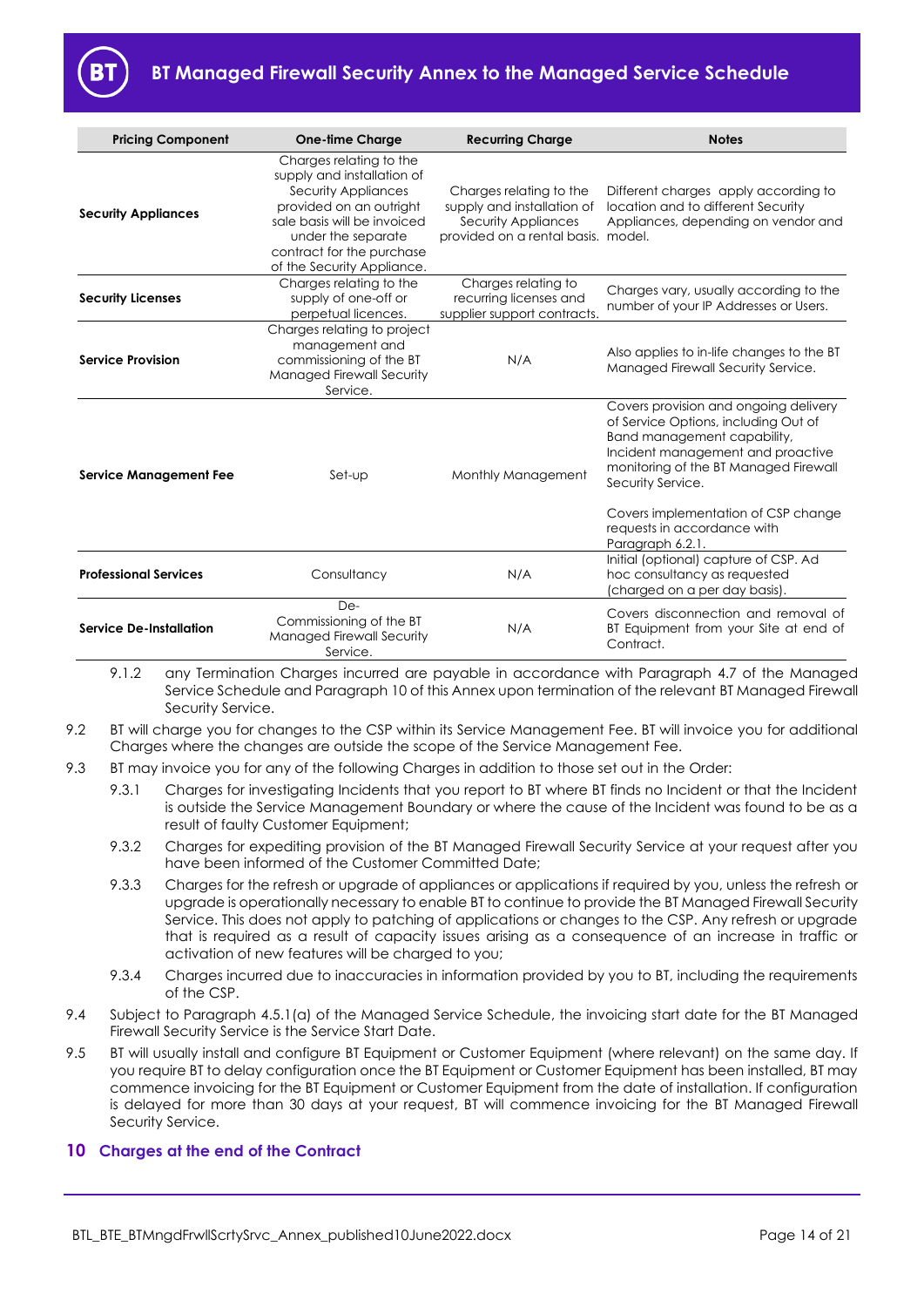| <b>Pricing Component</b>      | <b>One-time Charge</b>                                                                                                                                                                                                  | <b>Recurring Charge</b>                                                                                            | <b>Notes</b>                                                                                                                                                                                                                                                                                              |
|-------------------------------|-------------------------------------------------------------------------------------------------------------------------------------------------------------------------------------------------------------------------|--------------------------------------------------------------------------------------------------------------------|-----------------------------------------------------------------------------------------------------------------------------------------------------------------------------------------------------------------------------------------------------------------------------------------------------------|
| <b>Security Appliances</b>    | Charges relating to the<br>supply and installation of<br>Security Appliances<br>provided on an outright<br>sale basis will be invoiced<br>under the separate<br>contract for the purchase<br>of the Security Appliance. | Charges relating to the<br>supply and installation of<br>Security Appliances<br>provided on a rental basis. model. | Different charges apply according to<br>location and to different Security<br>Appliances, depending on vendor and                                                                                                                                                                                         |
| <b>Security Licenses</b>      | Charges relating to the<br>supply of one-off or<br>perpetual licences.                                                                                                                                                  | Charges relating to<br>recurring licenses and<br>supplier support contracts.                                       | Charges vary, usually according to the<br>number of your IP Addresses or Users.                                                                                                                                                                                                                           |
| <b>Service Provision</b>      | Charges relating to project<br>management and<br>commissioning of the BT<br>Managed Firewall Security<br>Service.                                                                                                       | N/A                                                                                                                | Also applies to in-life changes to the BT<br>Managed Firewall Security Service.                                                                                                                                                                                                                           |
| <b>Service Management Fee</b> | Set-up                                                                                                                                                                                                                  | Monthly Management                                                                                                 | Covers provision and ongoing delivery<br>of Service Options, including Out of<br>Band management capability,<br>Incident management and proactive<br>monitoring of the BT Managed Firewall<br>Security Service.<br>Covers implementation of CSP change<br>requests in accordance with<br>Paragraph 6.2.1. |
| <b>Professional Services</b>  | Consultancy                                                                                                                                                                                                             | N/A                                                                                                                | Initial (optional) capture of CSP. Ad<br>hoc consultancy as requested<br>(charged on a per day basis).                                                                                                                                                                                                    |
| Service De-Installation       | De-<br>Commissioning of the BT<br><b>Managed Firewall Security</b><br>Service.                                                                                                                                          | N/A                                                                                                                | Covers disconnection and removal of<br>BT Equipment from your Site at end of<br>Contract.                                                                                                                                                                                                                 |

9.1.2 any Termination Charges incurred are payable in accordance with Paragraph 4.7 of the Managed Service Schedule and Paragraph 10 of this Annex upon termination of the relevant BT Managed Firewall Security Service.

- <span id="page-13-2"></span>9.2 BT will charge you for changes to the CSP within its Service Management Fee. BT will invoice you for additional Charges where the changes are outside the scope of the Service Management Fee.
- 9.3 BT may invoice you for any of the following Charges in addition to those set out in the Order:
	- 9.3.1 Charges for investigating Incidents that you report to BT where BT finds no Incident or that the Incident is outside the Service Management Boundary or where the cause of the Incident was found to be as a result of faulty Customer Equipment;
	- 9.3.2 Charges for expediting provision of the BT Managed Firewall Security Service at your request after you have been informed of the Customer Committed Date;
	- 9.3.3 Charges for the refresh or upgrade of appliances or applications if required by you, unless the refresh or upgrade is operationally necessary to enable BT to continue to provide the BT Managed Firewall Security Service. This does not apply to patching of applications or changes to the CSP. Any refresh or upgrade that is required as a result of capacity issues arising as a consequence of an increase in traffic or activation of new features will be charged to you;
	- 9.3.4 Charges incurred due to inaccuracies in information provided by you to BT, including the requirements of the CSP.
- 9.4 Subject to Paragraph 4.5.1(a) of the Managed Service Schedule, the invoicing start date for the BT Managed Firewall Security Service is the Service Start Date.
- <span id="page-13-1"></span>9.5 BT will usually install and configure BT Equipment or Customer Equipment (where relevant) on the same day. If you require BT to delay configuration once the BT Equipment or Customer Equipment has been installed, BT may commence invoicing for the BT Equipment or Customer Equipment from the date of installation. If configuration is delayed for more than 30 days at your request, BT will commence invoicing for the BT Managed Firewall Security Service.

## <span id="page-13-0"></span>**10 Charges at the end of the Contract**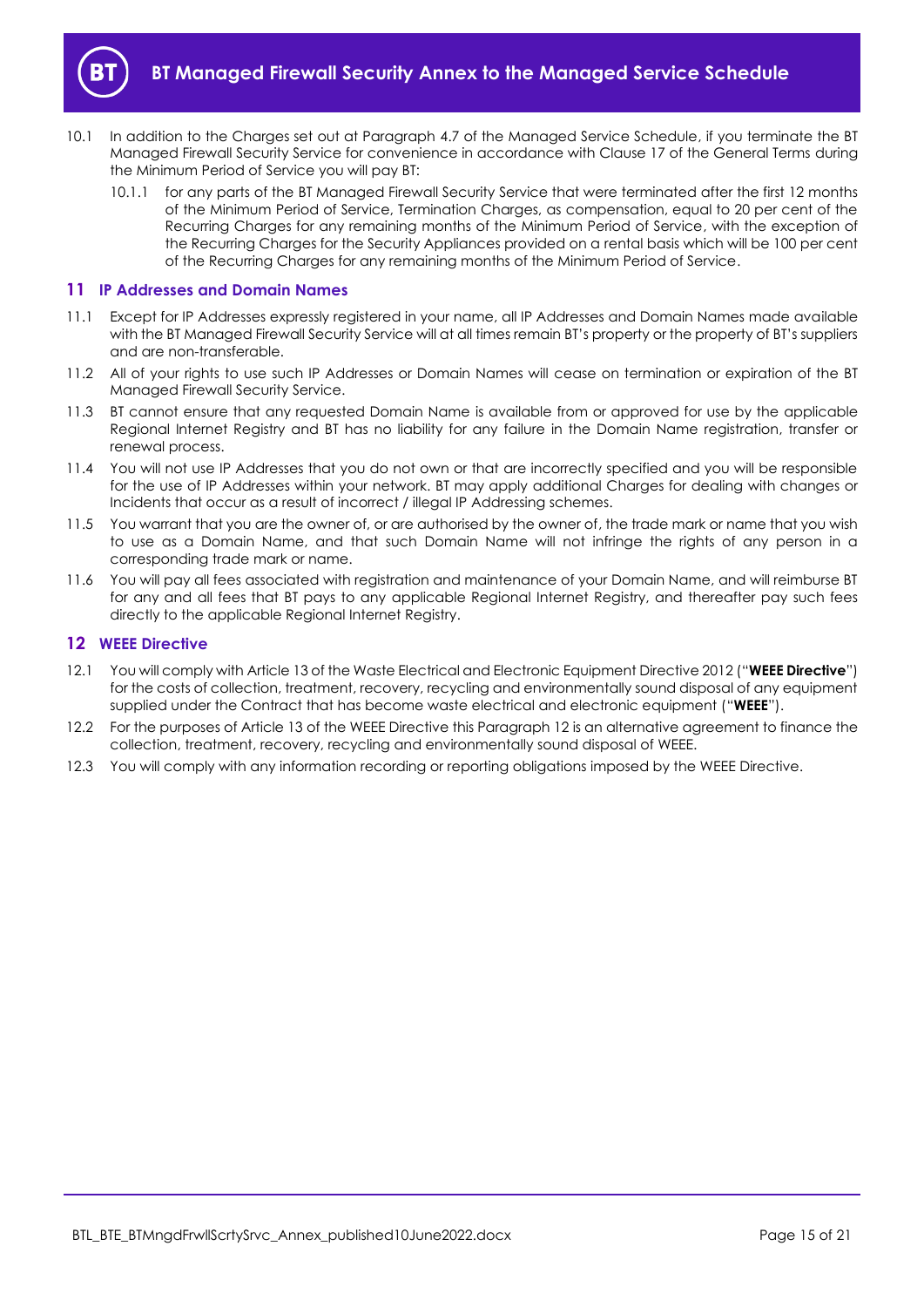

- 10.1 In addition to the Charges set out at Paragraph 4.7 of the Managed Service Schedule, if you terminate the BT Managed Firewall Security Service for convenience in accordance with Clause 17 of the General Terms during the Minimum Period of Service you will pay BT:
	- 10.1.1 for any parts of the BT Managed Firewall Security Service that were terminated after the first 12 months of the Minimum Period of Service, Termination Charges, as compensation, equal to 20 per cent of the Recurring Charges for any remaining months of the Minimum Period of Service, with the exception of the Recurring Charges for the Security Appliances provided on a rental basis which will be 100 per cent of the Recurring Charges for any remaining months of the Minimum Period of Service.

## <span id="page-14-0"></span>**11 IP Addresses and Domain Names**

- 11.1 Except for IP Addresses expressly registered in your name, all IP Addresses and Domain Names made available with the BT Managed Firewall Security Service will at all times remain BT's property or the property of BT's suppliers and are non-transferable.
- 11.2 All of your rights to use such IP Addresses or Domain Names will cease on termination or expiration of the BT Managed Firewall Security Service.
- 11.3 BT cannot ensure that any requested Domain Name is available from or approved for use by the applicable Regional Internet Registry and BT has no liability for any failure in the Domain Name registration, transfer or renewal process.
- 11.4 You will not use IP Addresses that you do not own or that are incorrectly specified and you will be responsible for the use of IP Addresses within your network. BT may apply additional Charges for dealing with changes or Incidents that occur as a result of incorrect / illegal IP Addressing schemes.
- 11.5 You warrant that you are the owner of, or are authorised by the owner of, the trade mark or name that you wish to use as a Domain Name, and that such Domain Name will not infringe the rights of any person in a corresponding trade mark or name.
- 11.6 You will pay all fees associated with registration and maintenance of your Domain Name, and will reimburse BT for any and all fees that BT pays to any applicable Regional Internet Registry, and thereafter pay such fees directly to the applicable Regional Internet Registry.

## <span id="page-14-1"></span>**12 WEEE Directive**

- <span id="page-14-2"></span>12.1 You will comply with Article 13 of the Waste Electrical and Electronic Equipment Directive 2012 ("**WEEE Directive**") for the costs of collection, treatment, recovery, recycling and environmentally sound disposal of any equipment supplied under the Contract that has become waste electrical and electronic equipment ("**WEEE**").
- 12.2 For the purposes of Article 13 of the WEEE Directive this Paragraph [12](#page-14-1) is an alternative agreement to finance the collection, treatment, recovery, recycling and environmentally sound disposal of WEEE.
- 12.3 You will comply with any information recording or reporting obligations imposed by the WEEE Directive.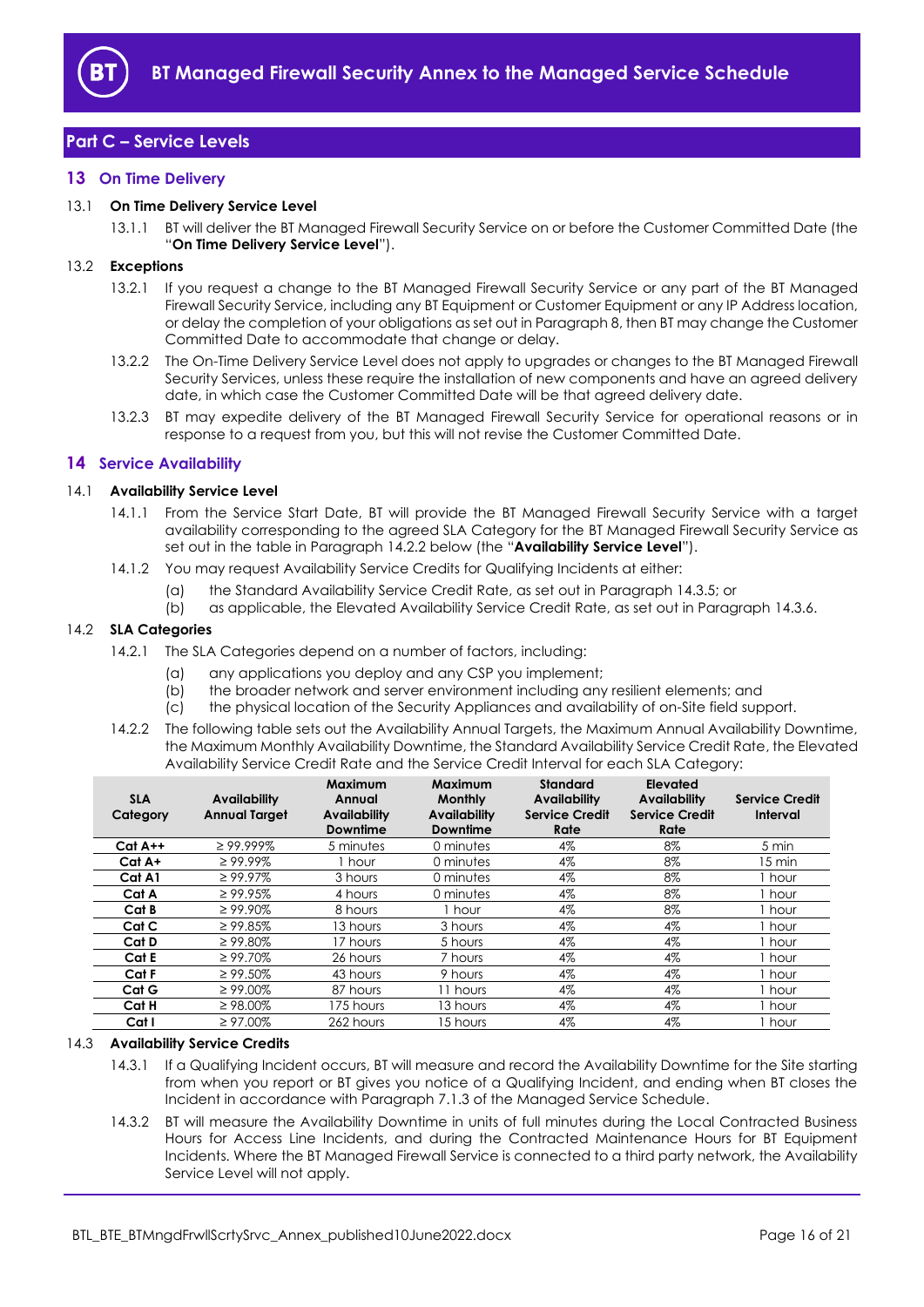

# <span id="page-15-0"></span>**Part C – Service Levels**

## <span id="page-15-1"></span>**13 On Time Delivery**

## <span id="page-15-7"></span>13.1 **On Time Delivery Service Level**

13.1.1 BT will deliver the BT Managed Firewall Security Service on or before the Customer Committed Date (the "**On Time Delivery Service Level**").

## 13.2 **Exceptions**

- 13.2.1 If you request a change to the BT Managed Firewall Security Service or any part of the BT Managed Firewall Security Service, including any BT Equipment or Customer Equipment or any IP Address location, or delay the completion of your obligations as set out in Paragraph 8, then BT may change the Customer Committed Date to accommodate that change or delay.
- 13.2.2 The On-Time Delivery Service Level does not apply to upgrades or changes to the BT Managed Firewall Security Services, unless these require the installation of new components and have an agreed delivery date, in which case the Customer Committed Date will be that agreed delivery date.
- 13.2.3 BT may expedite delivery of the BT Managed Firewall Security Service for operational reasons or in response to a request from you, but this will not revise the Customer Committed Date.

## <span id="page-15-2"></span>**14 Service Availability**

#### <span id="page-15-6"></span>14.1 **Availability Service Level**

- 14.1.1 From the Service Start Date, BT will provide the BT Managed Firewall Security Service with a target availability corresponding to the agreed SLA Category for the BT Managed Firewall Security Service as set out in the table in Paragraph [14.2.2](#page-15-3) below (the "**Availability Service Level**").
- 14.1.2 You may request Availability Service Credits for Qualifying Incidents at either:
	- (a) the Standard Availability Service Credit Rate, as set out in Paragraph [14.3.5;](#page-16-2) or
	- (b) as applicable, the Elevated Availability Service Credit Rate, as set out in Paragraph [14.3.6.](#page-16-3)

#### 14.2 **SLA Categories**

- 14.2.1 The SLA Categories depend on a number of factors, including:
	- (a) any applications you deploy and any CSP you implement;
	- (b) the broader network and server environment including any resilient elements; and (c) the physical location of the Security Appliances and availability of on-Site field sup
	- the physical location of the Security Appliances and availability of on-Site field support.
- <span id="page-15-3"></span>14.2.2 The following table sets out the Availability Annual Targets, the Maximum Annual Availability Downtime, the Maximum Monthly Availability Downtime, the Standard Availability Service Credit Rate, the Elevated Availability Service Credit Rate and the Service Credit Interval for each SLA Category:

| <b>SLA</b><br>Category | <b>Availability</b><br><b>Annual Target</b> | Maximum<br>Annual<br><b>Availability</b><br><b>Downtime</b> | <b>Maximum</b><br><b>Monthly</b><br><b>Availability</b><br><b>Downtime</b> | <b>Standard</b><br><b>Availability</b><br><b>Service Credit</b><br>Rate | Elevated<br><b>Availability</b><br><b>Service Credit</b><br>Rate | <b>Service Credit</b><br>Interval |
|------------------------|---------------------------------------------|-------------------------------------------------------------|----------------------------------------------------------------------------|-------------------------------------------------------------------------|------------------------------------------------------------------|-----------------------------------|
| $Cat A++$              | $\geq$ 99.999%                              | 5 minutes                                                   | 0 minutes                                                                  | 4%                                                                      | 8%                                                               | 5 min                             |
| Cat A+                 | $\geq 99.99\%$                              | 1 hour                                                      | 0 minutes                                                                  | 4%                                                                      | 8%                                                               | 15 min                            |
| Cat A1                 | $\geq 99.97\%$                              | 3 hours                                                     | 0 minutes                                                                  | 4%                                                                      | 8%                                                               | hour                              |
| Cat A                  | $\geq 99.95\%$                              | 4 hours                                                     | 0 minutes                                                                  | 4%                                                                      | 8%                                                               | hour                              |
| Cat B                  | $\geq 99.90\%$                              | 8 hours                                                     | 1 hour                                                                     | 4%                                                                      | 8%                                                               | I hour                            |
| Cat C                  | $\geq 99.85\%$                              | 13 hours                                                    | 3 hours                                                                    | 4%                                                                      | 4%                                                               | I hour                            |
| Cat D                  | $\geq 99.80\%$                              | 17 hours                                                    | 5 hours                                                                    | 4%                                                                      | $4\%$                                                            | hour                              |
| Cat E                  | $\geq 99.70\%$                              | 26 hours                                                    | 7 hours                                                                    | 4%                                                                      | $4\%$                                                            | hour                              |
| Cat F                  | $\geq 99.50\%$                              | 43 hours                                                    | 9 hours                                                                    | 4%                                                                      | 4%                                                               | i hour                            |
| Cat G                  | $\geq 99.00\%$                              | 87 hours                                                    | 11 hours                                                                   | 4%                                                                      | $4\%$                                                            | I hour                            |
| Cat H                  | $\geq 98.00\%$                              | 175 hours                                                   | 13 hours                                                                   | 4%                                                                      | 4%                                                               | hour .                            |
| Cat I                  | $\geq 97.00\%$                              | 262 hours                                                   | 15 hours                                                                   | 4%                                                                      | 4%                                                               | l hour                            |

## <span id="page-15-4"></span>14.3 **Availability Service Credits**

- 14.3.1 If a Qualifying Incident occurs, BT will measure and record the Availability Downtime for the Site starting from when you report or BT gives you notice of a Qualifying Incident, and ending when BT closes the Incident in accordance with Paragraph 7.1.3 of the Managed Service Schedule.
- <span id="page-15-5"></span>14.3.2 BT will measure the Availability Downtime in units of full minutes during the Local Contracted Business Hours for Access Line Incidents, and during the Contracted Maintenance Hours for BT Equipment Incidents. Where the BT Managed Firewall Service is connected to a third party network, the Availability Service Level will not apply.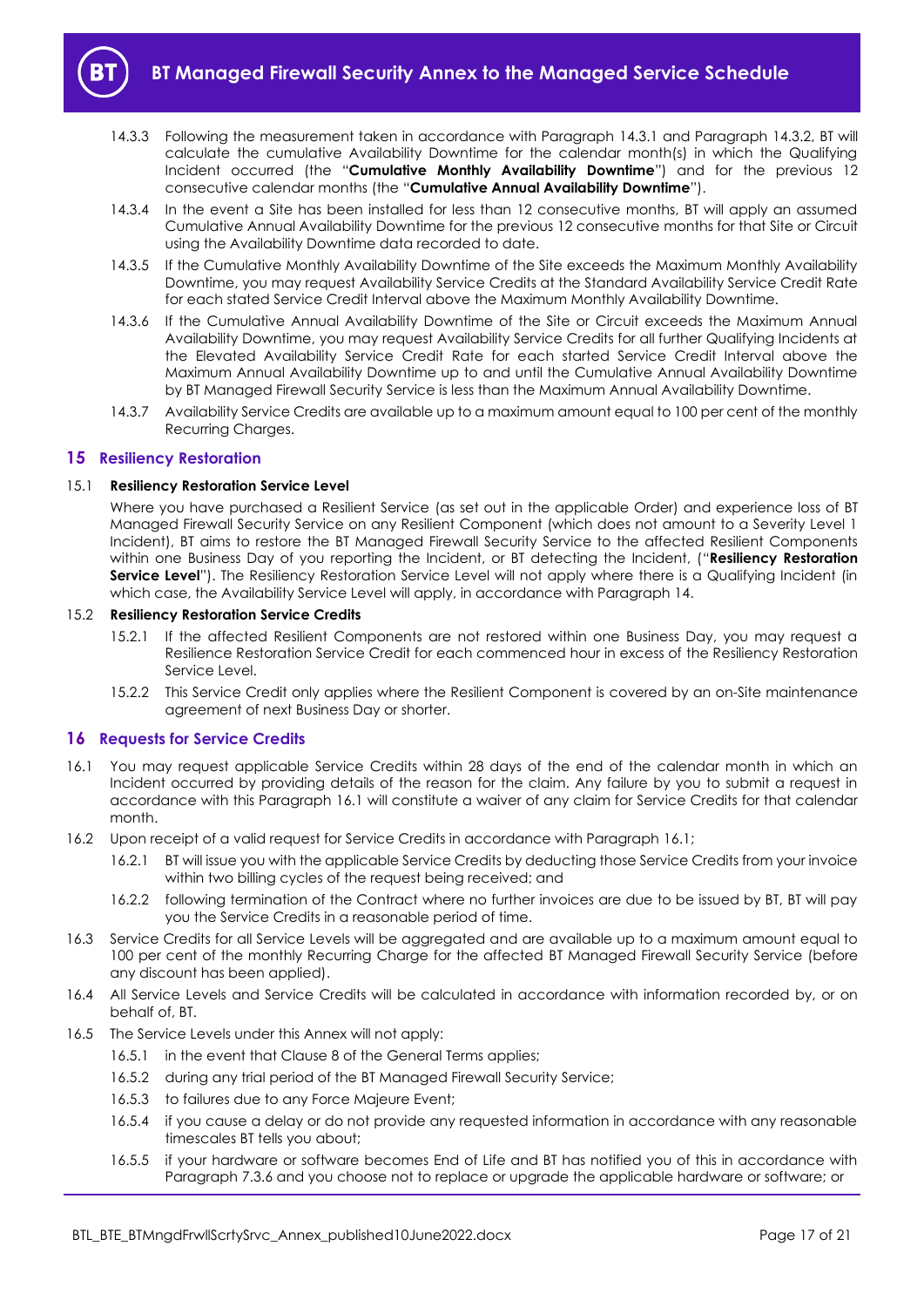

- <span id="page-16-4"></span>14.3.3 Following the measurement taken in accordance with Paragraph [14.3.1](#page-15-4) and Paragraph [14.3.2,](#page-15-5) BT will calculate the cumulative Availability Downtime for the calendar month(s) in which the Qualifying Incident occurred (the "**Cumulative Monthly Availability Downtime**") and for the previous 12 consecutive calendar months (the "**Cumulative Annual Availability Downtime**").
- 14.3.4 In the event a Site has been installed for less than 12 consecutive months, BT will apply an assumed Cumulative Annual Availability Downtime for the previous 12 consecutive months for that Site or Circuit using the Availability Downtime data recorded to date.
- <span id="page-16-2"></span>14.3.5 If the Cumulative Monthly Availability Downtime of the Site exceeds the Maximum Monthly Availability Downtime, you may request Availability Service Credits at the Standard Availability Service Credit Rate for each stated Service Credit Interval above the Maximum Monthly Availability Downtime.
- <span id="page-16-3"></span>14.3.6 If the Cumulative Annual Availability Downtime of the Site or Circuit exceeds the Maximum Annual Availability Downtime, you may request Availability Service Credits for all further Qualifying Incidents at the Elevated Availability Service Credit Rate for each started Service Credit Interval above the Maximum Annual Availability Downtime up to and until the Cumulative Annual Availability Downtime by BT Managed Firewall Security Service is less than the Maximum Annual Availability Downtime.
- 14.3.7 Availability Service Credits are available up to a maximum amount equal to 100 per cent of the monthly Recurring Charges.

## <span id="page-16-0"></span>**15 Resiliency Restoration**

## <span id="page-16-5"></span>15.1 **Resiliency Restoration Service Level**

Where you have purchased a Resilient Service (as set out in the applicable Order) and experience loss of BT Managed Firewall Security Service on any Resilient Component (which does not amount to a Severity Level 1 Incident), BT aims to restore the BT Managed Firewall Security Service to the affected Resilient Components within one Business Day of you reporting the Incident, or BT detecting the Incident, ("**Resiliency Restoration Service Level**"). The Resiliency Restoration Service Level will not apply where there is a Qualifying Incident (in which case, the Availability Service Level will apply, in accordance with Paragraph 14.

#### 15.2 **Resiliency Restoration Service Credits**

- 15.2.1 If the affected Resilient Components are not restored within one Business Day, you may request a Resilience Restoration Service Credit for each commenced hour in excess of the Resiliency Restoration Service Level.
- 15.2.2 This Service Credit only applies where the Resilient Component is covered by an on-Site maintenance agreement of next Business Day or shorter.

## <span id="page-16-1"></span>**16 Requests for Service Credits**

- 16.1 You may request applicable Service Credits within 28 days of the end of the calendar month in which an Incident occurred by providing details of the reason for the claim. Any failure by you to submit a request in accordance with this Paragraph 16.1 will constitute a waiver of any claim for Service Credits for that calendar month.
- 16.2 Upon receipt of a valid request for Service Credits in accordance with Paragraph 16.1;
	- 16.2.1 BT will issue you with the applicable Service Credits by deducting those Service Credits from your invoice within two billing cycles of the request being received; and
	- 16.2.2 following termination of the Contract where no further invoices are due to be issued by BT, BT will pay you the Service Credits in a reasonable period of time.
- 16.3 Service Credits for all Service Levels will be aggregated and are available up to a maximum amount equal to 100 per cent of the monthly Recurring Charge for the affected BT Managed Firewall Security Service (before any discount has been applied).
- 16.4 All Service Levels and Service Credits will be calculated in accordance with information recorded by, or on behalf of, BT.
- 16.5 The Service Levels under this Annex will not apply:
	- 16.5.1 in the event that Clause 8 of the General Terms applies;
	- 16.5.2 during any trial period of the BT Managed Firewall Security Service;
	- 16.5.3 to failures due to any Force Majeure Event;
	- 16.5.4 if you cause a delay or do not provide any requested information in accordance with any reasonable timescales BT tells you about;
	- 16.5.5 if your hardware or software becomes End of Life and BT has notified you of this in accordance with Paragraph 7.3.6 and you choose not to replace or upgrade the applicable hardware or software; or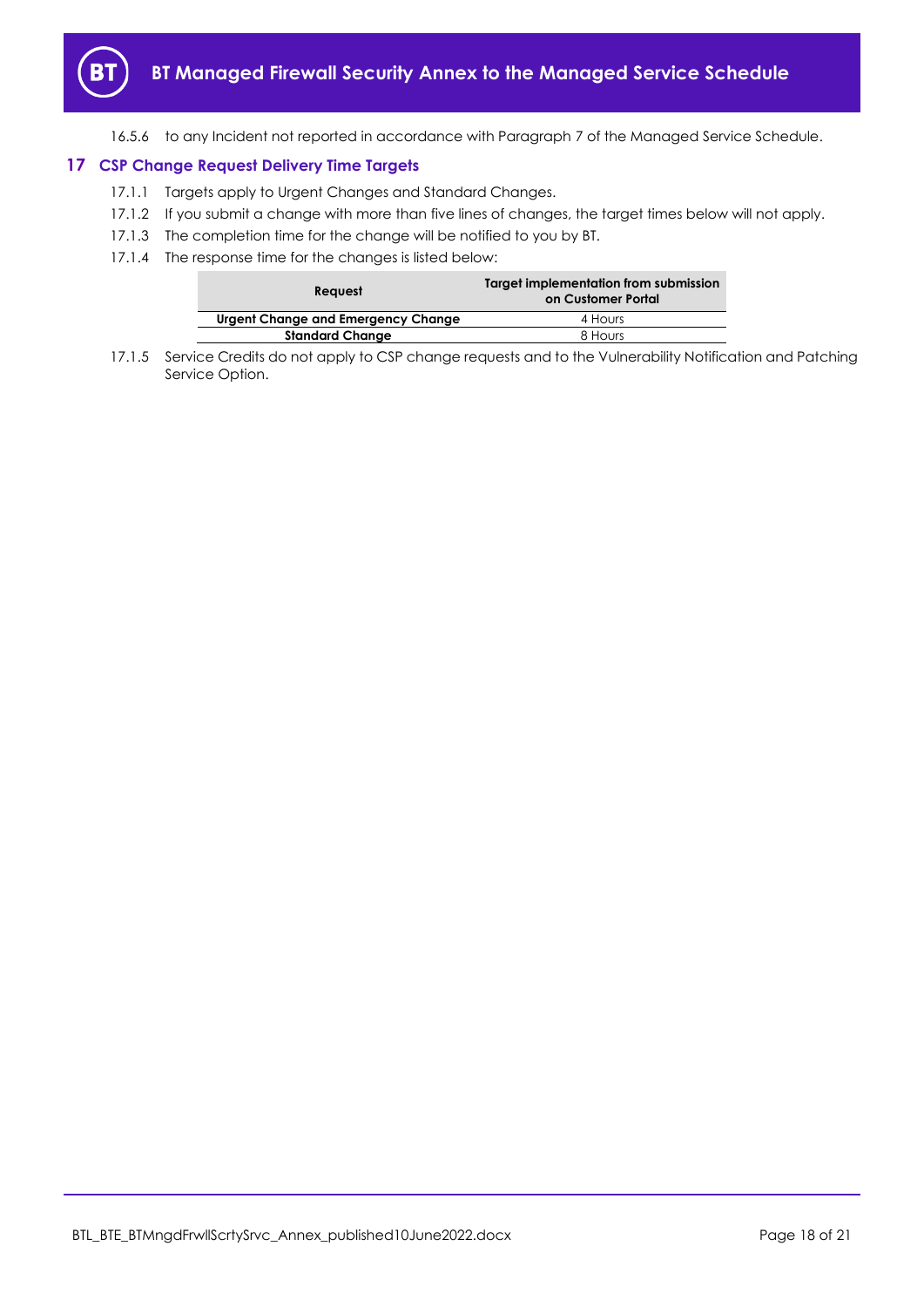

16.5.6 to any Incident not reported in accordance with Paragraph 7 of the Managed Service Schedule.

## <span id="page-17-0"></span>**17 CSP Change Request Delivery Time Targets**

- 17.1.1 Targets apply to Urgent Changes and Standard Changes.
- 17.1.2 If you submit a change with more than five lines of changes, the target times below will not apply.
- 17.1.3 The completion time for the change will be notified to you by BT.
- 17.1.4 The response time for the changes is listed below:

| <b>Reauest</b>                     | Target implementation from submission<br>on Customer Portal |
|------------------------------------|-------------------------------------------------------------|
| Urgent Change and Emergency Change | 4 Hours                                                     |
| <b>Standard Change</b>             | 8 Hours                                                     |

17.1.5 Service Credits do not apply to CSP change requests and to the Vulnerability Notification and Patching Service Option.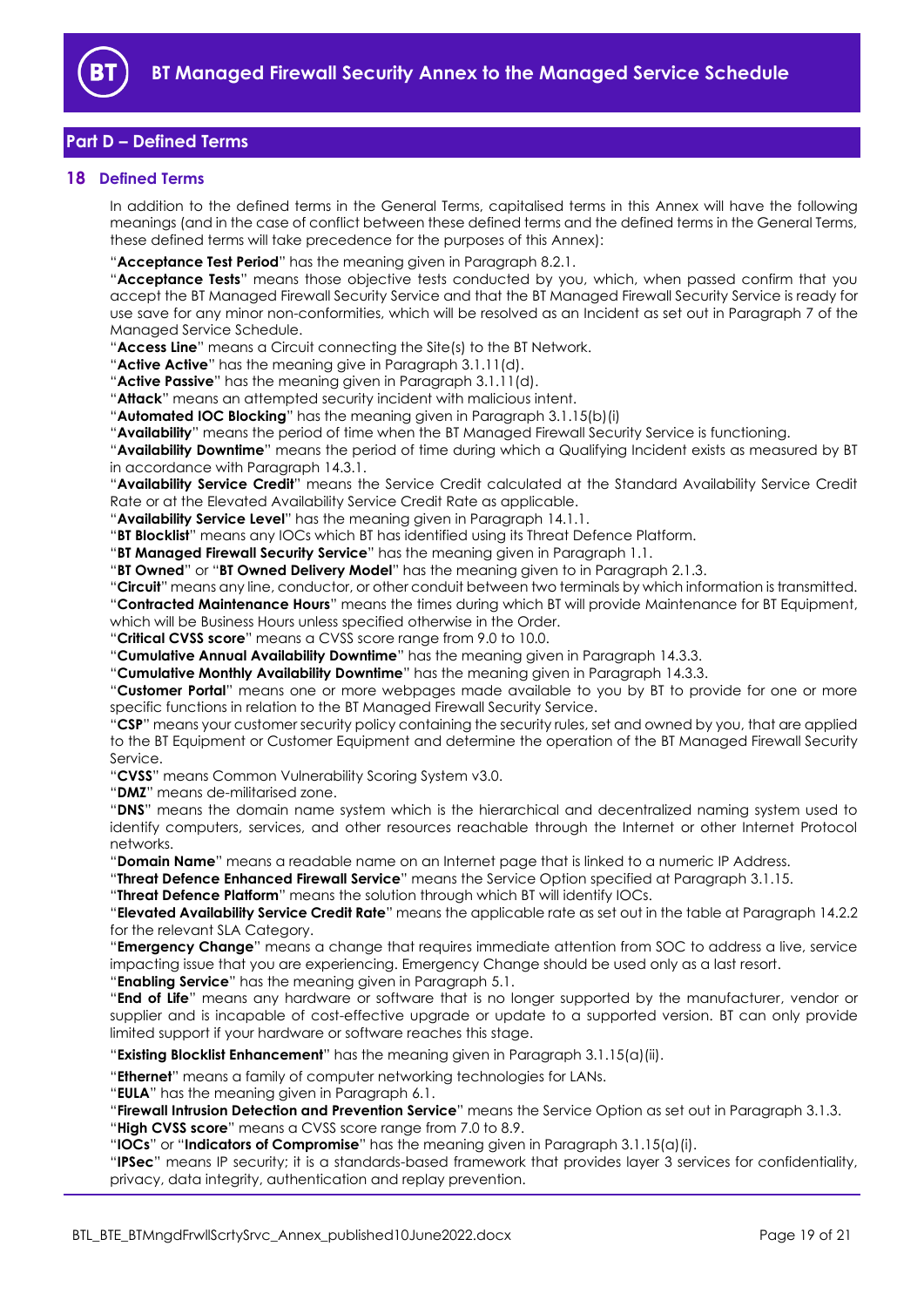

# <span id="page-18-0"></span>**Part D – Defined Terms**

## <span id="page-18-1"></span>**18 Defined Terms**

In addition to the defined terms in the General Terms, capitalised terms in this Annex will have the following meanings (and in the case of conflict between these defined terms and the defined terms in the General Terms, these defined terms will take precedence for the purposes of this Annex):

"**Acceptance Test Period**" has the meaning given in Paragraph [8.2.1.](#page-11-3)

"**Acceptance Tests**" means those objective tests conducted by you, which, when passed confirm that you accept the BT Managed Firewall Security Service and that the BT Managed Firewall Security Service is ready for use save for any minor non-conformities, which will be resolved as an Incident as set out in Paragraph 7 of the Managed Service Schedule.

"**Access Line**" means a Circuit connecting the Site(s) to the BT Network.

"**Active Active**" has the meaning give in Paragraph [3.1.11\(d\).](#page-5-4)

"**Active Passive**" has the meaning given in Paragraph [3.1.11\(d\).](#page-5-4)

"**Attack**" means an attempted security incident with malicious intent.

"**Automated IOC Blocking**" has the meaning given in Paragraph [3.1.15\(b\)\(i\)](#page-5-1)

"**Availability**" means the period of time when the BT Managed Firewall Security Service is functioning.

"**Availability Downtime**" means the period of time during which a Qualifying Incident exists as measured by BT in accordance with Paragrap[h 14.3.1.](#page-15-4)

"**Availability Service Credit**" means the Service Credit calculated at the Standard Availability Service Credit Rate or at the Elevated Availability Service Credit Rate as applicable.

"**Availability Service Level**" has the meaning given in Paragraph [14.1.1.](#page-15-6)

"**BT Blocklist**" means any IOCs which BT has identified using its Threat Defence Platform.

"**BT Managed Firewall Security Service**" has the meaning given in Paragrap[h 1.1.](#page-1-4)

"**BT Owned**" or "**BT Owned Delivery Model**" has the meaning given to in Paragraph 2.1.3.

"**Circuit**" means any line, conductor, or other conduit between two terminals by which information is transmitted.

"**Contracted Maintenance Hours**" means the times during which BT will provide Maintenance for BT Equipment, which will be Business Hours unless specified otherwise in the Order.

"**Critical CVSS score**" means a CVSS score range from 9.0 to 10.0.

"**Cumulative Annual Availability Downtime**" has the meaning given in Paragraph [14.3.3.](#page-16-4)

"**Cumulative Monthly Availability Downtime**" has the meaning given in Paragrap[h 14.3.3.](#page-16-4)

"**Customer Portal**" means one or more webpages made available to you by BT to provide for one or more specific functions in relation to the BT Managed Firewall Security Service.

"**CSP**" means your customer security policy containing the security rules, set and owned by you, that are applied to the BT Equipment or Customer Equipment and determine the operation of the BT Managed Firewall Security Service.

"**CVSS**" means Common Vulnerability Scoring System v3.0.

"**DMZ**" means de-militarised zone.

"**DNS**" means the domain name system which is the hierarchical and decentralized naming system used to identify computers, services, and other resources reachable through the Internet or other Internet Protocol networks.

"**Domain Name**" means a readable name on an Internet page that is linked to a numeric IP Address.

"**Threat Defence Enhanced Firewall Service**" means the Service Option specified at Paragraph [3.1.15.](#page-5-5)

"**Threat Defence Platform**" means the solution through which BT will identify IOCs.

"**Elevated Availability Service Credit Rate**" means the applicable rate as set out in the table at Paragraph [14.2.2](#page-15-3) for the relevant SLA Category.

"**Emergency Change**" means a change that requires immediate attention from SOC to address a live, service impacting issue that you are experiencing. Emergency Change should be used only as a last resort.

"**Enabling Service**" has the meaning given in Paragrap[h 5.1.](#page-6-4)

"**End of Life**" means any hardware or software that is no longer supported by the manufacturer, vendor or supplier and is incapable of cost-effective upgrade or update to a supported version. BT can only provide limited support if your hardware or software reaches this stage.

"**Existing Blocklist Enhancement**" has the meaning given in Paragraph [3.1.15\(a\)\(ii\).](#page-5-6)

"**Ethernet**" means a family of computer networking technologies for LANs.

"**EULA**" has the meaning given in Paragraph [6.1.](#page-6-5)

"**Firewall Intrusion Detection and Prevention Service**" means the Service Option as set out in Paragraph [3.1.3.](#page-3-0)

"**High CVSS score**" means a CVSS score range from 7.0 to 8.9.

"**IOCs**" or "**Indicators of Compromise**" has the meaning given in Paragraph [3.1.15\(a\)\(i\).](#page-5-7)

"**IPSec**" means IP security; it is a standards-based framework that provides layer 3 services for confidentiality, privacy, data integrity, authentication and replay prevention.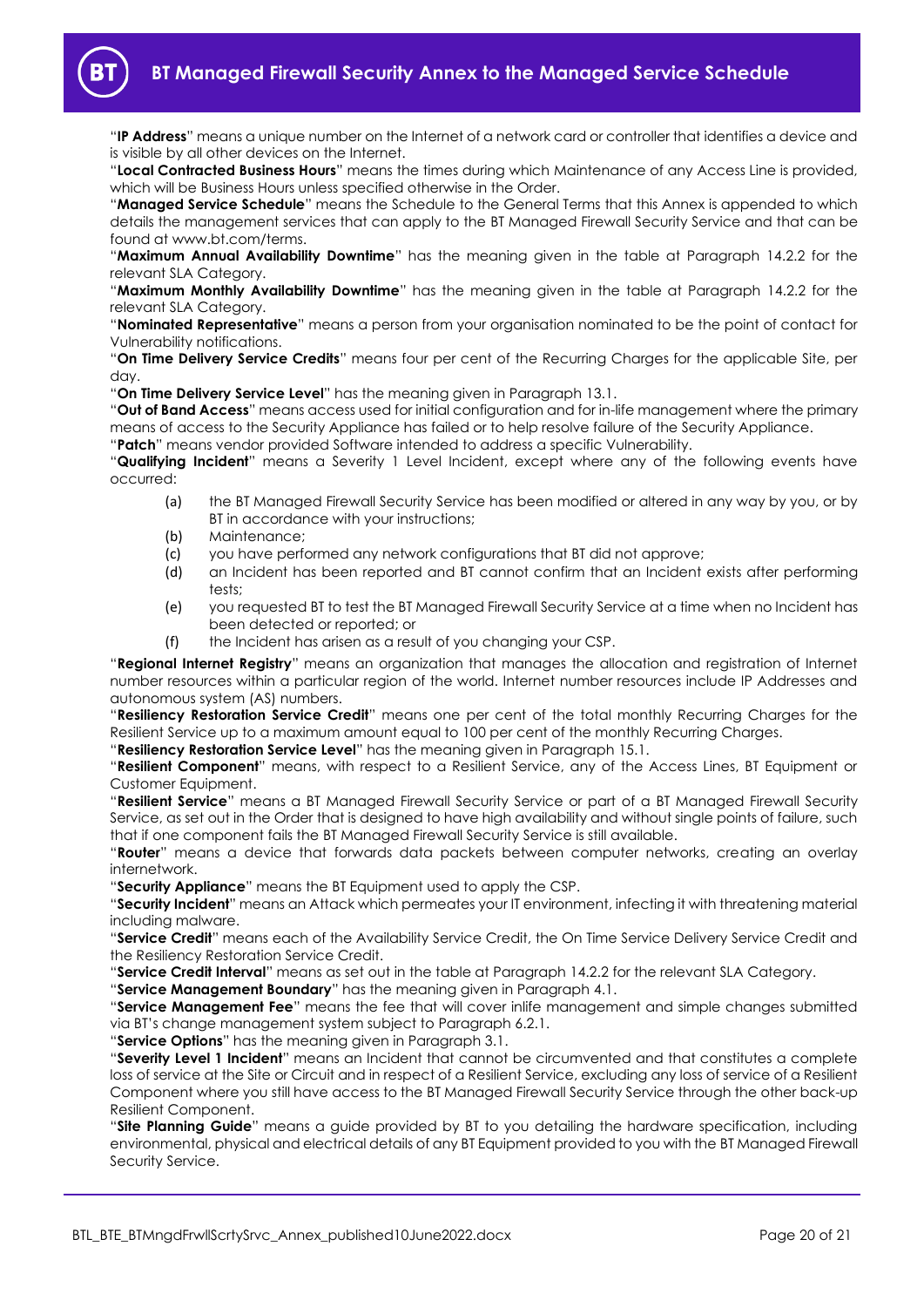

"**IP Address**" means a unique number on the Internet of a network card or controller that identifies a device and is visible by all other devices on the Internet.

"**Local Contracted Business Hours**" means the times during which Maintenance of any Access Line is provided, which will be Business Hours unless specified otherwise in the Order.

"**Managed Service Schedule**" means the Schedule to the General Terms that this Annex is appended to which details the management services that can apply to the BT Managed Firewall Security Service and that can be found at www.bt.com/terms.

"**Maximum Annual Availability Downtime**" has the meaning given in the table at Paragraph [14.2.2](#page-15-3) for the relevant SLA Category.

"**Maximum Monthly Availability Downtime**" has the meaning given in the table at Paragraph [14.2.2](#page-15-3) for the relevant SLA Category.

"**Nominated Representative**" means a person from your organisation nominated to be the point of contact for Vulnerability notifications.

"**On Time Delivery Service Credits**" means four per cent of the Recurring Charges for the applicable Site, per day.

"**On Time Delivery Service Level**" has the meaning given in Paragrap[h 13.1.](#page-15-7)

"**Out of Band Access**" means access used for initial configuration and for in-life management where the primary means of access to the Security Appliance has failed or to help resolve failure of the Security Appliance.

"**Patch**" means vendor provided Software intended to address a specific Vulnerability.

"**Qualifying Incident**" means a Severity 1 Level Incident, except where any of the following events have occurred:

- (a) the BT Managed Firewall Security Service has been modified or altered in any way by you, or by BT in accordance with your instructions;
- (b) Maintenance;
- (c) you have performed any network configurations that BT did not approve;
- (d) an Incident has been reported and BT cannot confirm that an Incident exists after performing tests;
- (e) you requested BT to test the BT Managed Firewall Security Service at a time when no Incident has been detected or reported; or
- (f) the Incident has arisen as a result of you changing your CSP.

"**Regional Internet Registry**" means an organization that manages the allocation and registration of Internet number resources within a particular region of the world. Internet number resources include IP Addresses and autonomous system (AS) numbers.

"**Resiliency Restoration Service Credit**" means one per cent of the total monthly Recurring Charges for the Resilient Service up to a maximum amount equal to 100 per cent of the monthly Recurring Charges.

"**Resiliency Restoration Service Level**" has the meaning given in Paragrap[h 15.1.](#page-16-5)

"**Resilient Component**" means, with respect to a Resilient Service, any of the Access Lines, BT Equipment or Customer Equipment.

"**Resilient Service**" means a BT Managed Firewall Security Service or part of a BT Managed Firewall Security Service, as set out in the Order that is designed to have high availability and without single points of failure, such that if one component fails the BT Managed Firewall Security Service is still available.

"**Router**" means a device that forwards data packets between computer networks, creating an overlay internetwork.

"**Security Appliance**" means the BT Equipment used to apply the CSP.

"**Security Incident**" means an Attack which permeates your IT environment, infecting it with threatening material including malware.

"**Service Credit**" means each of the Availability Service Credit, the On Time Service Delivery Service Credit and the Resiliency Restoration Service Credit.

"**Service Credit Interval**" means as set out in the table at Paragraph [14.2.2](#page-15-3) for the relevant SLA Category.

"**Service Management Boundary**" has the meaning given in Paragrap[h 4.1.](#page-5-8)

"**Service Management Fee**" means the fee that will cover inlife management and simple changes submitted via BT's change management system subject to Paragraph 6.2.1.

"**Service Options**" has the meaning given in Paragrap[h 3.1.](#page-2-5)

"**Severity Level 1 Incident**" means an Incident that cannot be circumvented and that constitutes a complete loss of service at the Site or Circuit and in respect of a Resilient Service, excluding any loss of service of a Resilient Component where you still have access to the BT Managed Firewall Security Service through the other back-up Resilient Component.

"**Site Planning Guide**" means a guide provided by BT to you detailing the hardware specification, including environmental, physical and electrical details of any BT Equipment provided to you with the BT Managed Firewall Security Service.